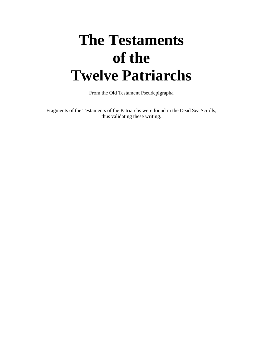# **The Testaments of the Twelve Patriarchs**

From the Old Testament Pseudepigrapha

Fragments of the Testaments of the Patriarchs were found in the Dead Sea Scrolls, thus validating these writing.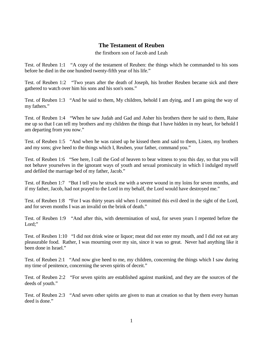## **The Testament of Reuben**

the firstborn son of Jacob and Leah

Test. of Reuben 1:1 "A copy of the testament of Reuben: the things which he commanded to his sons before he died in the one hundred twenty-fifth year of his life."

Test. of Reuben 1:2 "Two years after the death of Joseph, his brother Reuben became sick and there gathered to watch over him his sons and his son's sons."

Test. of Reuben 1:3 "And he said to them, My children, behold I am dying, and I am going the way of my fathers."

Test. of Reuben 1:4 "When he saw Judah and Gad and Asher his brothers there he said to them, Raise me up so that I can tell my brothers and my children the things that I have hidden in my heart, for behold I am departing from you now."

Test. of Reuben 1:5 "And when he was raised up he kissed them and said to them, Listen, my brothers and my sons; give heed to the things which I, Reuben, your father, command you."

Test. of Reuben 1:6 "See here, I call the God of heaven to bear witness to you this day, so that you will not behave yourselves in the ignorant ways of youth and sexual promiscuity in which I indulged myself and defiled the marriage bed of my father, Jacob."

Test. of Reuben 1:7 "But I tell you he struck me with a severe wound in my loins for seven months, and if my father, Jacob, had not prayed to the Lord in my behalf, the Lord would have destroyed me."

Test. of Reuben 1:8 "For I was thirty years old when I committed this evil deed in the sight of the Lord, and for seven months I was an invalid on the brink of death."

Test. of Reuben 1:9 "And after this, with determination of soul, for seven years I repented before the Lord:"

Test. of Reuben 1:10 "I did not drink wine or liquor; meat did not enter my mouth, and I did not eat any pleasurable food. Rather, I was mourning over my sin, since it was so great. Never had anything like it been done in Israel."

Test. of Reuben 2:1 "And now give heed to me, my children, concerning the things which I saw during my time of penitence, concerning the seven spirits of deceit."

Test. of Reuben 2:2 "For seven spirits are established against mankind, and they are the sources of the deeds of youth."

Test. of Reuben 2:3 "And seven other spirits are given to man at creation so that by them every human deed is done."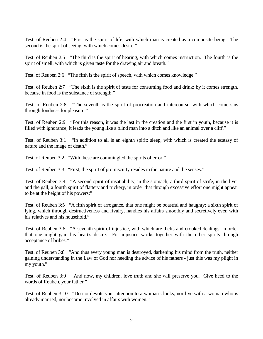Test. of Reuben 2:4 "First is the spirit of life, with which man is created as a composite being. The second is the spirit of seeing, with which comes desire."

Test. of Reuben 2:5 "The third is the spirit of hearing, with which comes instruction. The fourth is the spirit of smell, with which is given taste for the drawing air and breath."

Test. of Reuben 2:6 "The fifth is the spirit of speech, with which comes knowledge."

Test. of Reuben 2:7 "The sixth is the spirit of taste for consuming food and drink; by it comes strength, because in food is the substance of strength."

Test. of Reuben 2:8 "The seventh is the spirit of procreation and intercourse, with which come sins through fondness for pleasure."

Test. of Reuben 2:9 "For this reason, it was the last in the creation and the first in youth, because it is filled with ignorance; it leads the young like a blind man into a ditch and like an animal over a cliff."

Test. of Reuben 3:1 "In addition to all is an eighth spirit: sleep, with which is created the ecstasy of nature and the image of death."

Test. of Reuben 3:2 "With these are commingled the spirits of error."

Test. of Reuben 3:3 "First, the spirit of promiscuity resides in the nature and the senses."

Test. of Reuben 3:4 "A second spirit of insatiability, in the stomach; a third spirit of strife, in the liver and the gall; a fourth spirit of flattery and trickery, in order that through excessive effort one might appear to be at the height of his powers;"

Test. of Reuben 3:5 "A fifth spirit of arrogance, that one might be boastful and haughty; a sixth spirit of lying, which through destructiveness and rivalry, handles his affairs smoothly and secretively even with his relatives and his household."

Test. of Reuben 3:6 "A seventh spirit of injustice, with which are thefts and crooked dealings, in order that one might gain his heart's desire. For injustice works together with the other spirits through acceptance of bribes."

Test. of Reuben 3:8 "And thus every young man is destroyed, darkening his mind from the truth, neither gaining understanding in the Law of God nor heeding the advice of his fathers - just this was my plight in my youth."

Test. of Reuben 3:9 "And now, my children, love truth and she will preserve you. Give heed to the words of Reuben, your father."

Test. of Reuben 3:10 "Do not devote your attention to a woman's looks, nor live with a woman who is already married, nor become involved in affairs with women."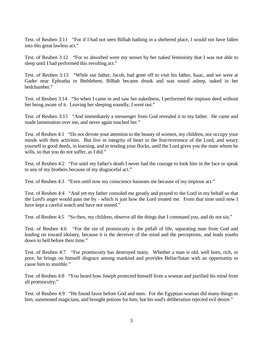Test. of Reuben 3:11 "For if I had not seen Bilhah bathing in a sheltered place, I would not have fallen into this great lawless act."

Test. of Reuben 3:12 "For so absorbed were my senses by her naked femininity that I was not able to sleep until I had performed this revolting act."

Test. of Reuben 3:13 "While our father, Jacob, had gone off to visit his father, Isaac, and we were at Gader near Ephratha in Bethlehem, Bilhah became drunk and was sound asleep, naked in her bedchamber."

Test. of Reuben 3:14 "So when I came in and saw her nakedness, I performed the impious deed without her being aware of it. Leaving her sleeping soundly, I went out."

Test. of Reuben 3:15 "And immediately a messenger from God revealed it to my father. He came and made lamentation over me, and never again touched her."

Test. of Reuben 4:1 "Do not devote your attention to the beauty of women, my children, nor occupy your minds with their activities. But live in integrity of heart in the fear/reverence of the Lord, and weary yourself in good deeds, in learning, and in tending your flocks, until the Lord gives you the mate whom he wills, so that you do not suffer, as I did."

Test. of Reuben 4:2 "For until my father's death I never had the courage to look him in the face or speak to any of my brothers because of my disgraceful act."

Test. of Reuben 4:3 "Even until now my conscience harasses me because of my impious act."

Test. of Reuben 4:4 "And yet my father consoled me greatly and prayed to the Lord in my behalf so that the Lord's anger would pass me by - which is just how the Lord treated me. From that time until now I have kept a careful watch and have not sinned."

Test. of Reuben 4:5 "So then, my children, observe all the things that I command you, and do not sin,"

Test. of Reuben 4:6 "For the sin of promiscuity is the pitfall of life, separating man from God and leading on toward idolatry, because it is the deceiver of the mind and the perceptions, and leads youths down to hell before their time."

Test. of Reuben 4:7 "For promiscuity has destroyed many. Whether a man is old, well born, rich, or poor, he brings on himself disgrace among mankind and provides Beliar/Satan with an opportunity to cause him to stumble."

Test. of Reuben 4:8 "You heard how Joseph protected himself from a woman and purified his mind from all promiscuity;"

Test. of Reuben 4:9 "He found favor before God and men. For the Egyptian woman did many things to him, summoned magicians, and brought potions for him, but his soul's deliberation rejected evil desire."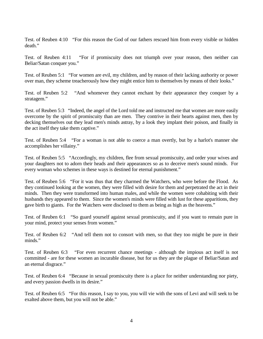Test. of Reuben 4:10 "For this reason the God of our fathers rescued him from every visible or hidden death."

Test. of Reuben 4:11 "For if promiscuity does not triumph over your reason, then neither can Beliar/Satan conquer you."

Test. of Reuben 5:1 "For women are evil, my children, and by reason of their lacking authority or power over man, they scheme treacherously how they might entice him to themselves by means of their looks."

Test. of Reuben 5:2 "And whomever they cannot enchant by their appearance they conquer by a stratagem."

Test. of Reuben 5:3 "Indeed, the angel of the Lord told me and instructed me that women are more easily overcome by the spirit of promiscuity than are men. They contrive in their hearts against men, then by decking themselves out they lead men's minds astray, by a look they implant their poison, and finally in the act itself they take them captive."

Test. of Reuben 5:4 "For a woman is not able to coerce a man overtly, but by a harlot's manner she accomplishes her villainy."

Test. of Reuben 5:5 "Accordingly, my children, flee from sexual promiscuity, and order your wives and your daughters not to adorn their heads and their appearances so as to deceive men's sound minds. For every woman who schemes in these ways is destined for eternal punishment."

Test. of Reuben 5:6 "For it was thus that they charmed the Watchers, who were before the Flood. As they continued looking at the women, they were filled with desire for them and perpetrated the act in their minds. Then they were transformed into human males, and while the women were cohabiting with their husbands they appeared to them. Since the women's minds were filled with lust for these apparitions, they gave birth to giants. For the Watchers were disclosed to them as being as high as the heavens."

Test. of Reuben 6:1 "So guard yourself against sexual promiscuity, and if you want to remain pure in your mind, protect your senses from women."

Test. of Reuben 6:2 "And tell them not to consort with men, so that they too might be pure in their minds."

Test. of Reuben 6:3 "For even recurrent chance meetings - although the impious act itself is not committed - are for these women an incurable disease, but for us they are the plague of Beliar/Satan and an eternal disgrace."

Test. of Reuben 6:4 "Because in sexual promiscuity there is a place for neither understanding nor piety, and every passion dwells in its desire."

Test. of Reuben 6:5 "For this reason, I say to you, you will vie with the sons of Levi and will seek to be exalted above them, but you will not be able."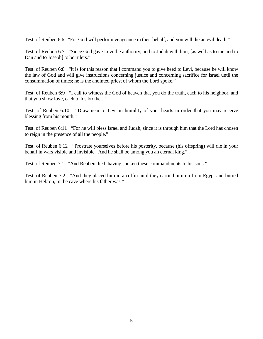Test. of Reuben 6:6 "For God will perform vengeance in their behalf, and you will die an evil death,"

Test. of Reuben 6:7 "Since God gave Levi the authority, and to Judah with him, [as well as to me and to Dan and to Joseph] to be rulers."

Test. of Reuben 6:8 "It is for this reason that I command you to give heed to Levi, because he will know the law of God and will give instructions concerning justice and concerning sacrifice for Israel until the consummation of times; he is the anointed priest of whom the Lord spoke."

Test. of Reuben 6:9 "I call to witness the God of heaven that you do the truth, each to his neighbor, and that you show love, each to his brother."

Test. of Reuben 6:10 "Draw near to Levi in humility of your hearts in order that you may receive blessing from his mouth."

Test. of Reuben 6:11 "For he will bless Israel and Judah, since it is through him that the Lord has chosen to reign in the presence of all the people."

Test. of Reuben 6:12 "Prostrate yourselves before his posterity, because (his offspring) will die in your behalf in wars visible and invisible. And he shall be among you an eternal king."

Test. of Reuben 7:1 "And Reuben died, having spoken these commandments to his sons."

Test. of Reuben 7:2 "And they placed him in a coffin until they carried him up from Egypt and buried him in Hebron, in the cave where his father was."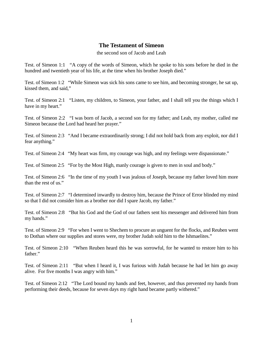#### **The Testament of Simeon**

the second son of Jacob and Leah

Test. of Simeon 1:1 "A copy of the words of Simeon, which he spoke to his sons before he died in the hundred and twentieth year of his life, at the time when his brother Joseph died."

Test. of Simeon 1:2 "While Simeon was sick his sons came to see him, and becoming stronger, he sat up, kissed them, and said,"

Test. of Simeon 2:1 "Listen, my children, to Simeon, your father, and I shall tell you the things which I have in my heart."

Test. of Simeon 2:2 "I was born of Jacob, a second son for my father; and Leah, my mother, called me Simeon because the Lord had heard her prayer."

Test. of Simeon 2:3 "And I became extraordinarily strong; I did not hold back from any exploit, nor did I fear anything."

Test. of Simeon 2:4 "My heart was firm, my courage was high, and my feelings were dispassionate."

Test. of Simeon 2:5 "For by the Most High, manly courage is given to men in soul and body."

Test. of Simeon 2:6 "In the time of my youth I was jealous of Joseph, because my father loved him more than the rest of us."

Test. of Simeon 2:7 "I determined inwardly to destroy him, because the Prince of Error blinded my mind so that I did not consider him as a brother nor did I spare Jacob, my father."

Test. of Simeon 2:8 "But his God and the God of our fathers sent his messenger and delivered him from my hands."

Test. of Simeon 2:9 "For when I went to Shechem to procure an unguent for the flocks, and Reuben went to Dothan where our supplies and stores were, my brother Judah sold him to the Ishmaelites."

Test. of Simeon 2:10 "When Reuben heard this he was sorrowful, for he wanted to restore him to his father."

Test. of Simeon 2:11 "But when I heard it, I was furious with Judah because he had let him go away alive. For five months I was angry with him."

Test. of Simeon 2:12 "The Lord bound my hands and feet, however, and thus prevented my hands from performing their deeds, because for seven days my right hand became partly withered."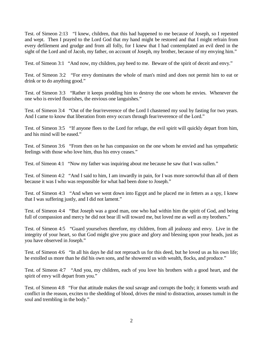Test. of Simeon 2:13 "I knew, children, that this had happened to me because of Joseph, so I repented and wept. Then I prayed to the Lord God that my hand might be restored and that I might refrain from every defilement and grudge and from all folly, for I knew that I had contemplated an evil deed in the sight of the Lord and of Jacob, my father, on account of Joseph, my brother, because of my envying him."

Test. of Simeon 3:1 "And now, my children, pay heed to me. Beware of the spirit of deceit and envy."

Test. of Simeon 3:2 "For envy dominates the whole of man's mind and does not permit him to eat or drink or to do anything good."

Test. of Simeon 3:3 "Rather it keeps prodding him to destroy the one whom he envies. Whenever the one who is envied flourishes, the envious one languishes."

Test. of Simeon 3:4 "Out of the fear/reverence of the Lord I chastened my soul by fasting for two years. And I came to know that liberation from envy occurs through fear/reverence of the Lord."

Test. of Simeon 3:5 "If anyone flees to the Lord for refuge, the evil spirit will quickly depart from him, and his mind will be eased."

Test. of Simeon 3:6 "From then on he has compassion on the one whom he envied and has sympathetic feelings with those who love him, thus his envy ceases."

Test. of Simeon 4:1 "Now my father was inquiring about me because he saw that I was sullen."

Test. of Simeon 4:2 "And I said to him, I am inwardly in pain, for I was more sorrowful than all of them because it was I who was responsible for what had been done to Joseph."

Test. of Simeon 4:3 "And when we went down into Egypt and he placed me in fetters as a spy, I knew that I was suffering justly, and I did not lament."

Test. of Simeon 4:4 "But Joseph was a good man, one who had within him the spirit of God, and being full of compassion and mercy he did not bear ill will toward me, but loved me as well as my brothers."

Test. of Simeon 4:5 "Guard yourselves therefore, my children, from all jealousy and envy. Live in the integrity of your heart, so that God might give you grace and glory and blessing upon your heads, just as you have observed in Joseph."

Test. of Simeon 4:6 "In all his days he did not reproach us for this deed, but he loved us as his own life; he extolled us more than he did his own sons, and he showered us with wealth, flocks, and produce."

Test. of Simeon 4:7 "And you, my children, each of you love his brothers with a good heart, and the spirit of envy will depart from you."

Test. of Simeon 4:8 "For that attitude makes the soul savage and corrupts the body; it foments wrath and conflict in the reason, excites to the shedding of blood, drives the mind to distraction, arouses tumult in the soul and trembling in the body."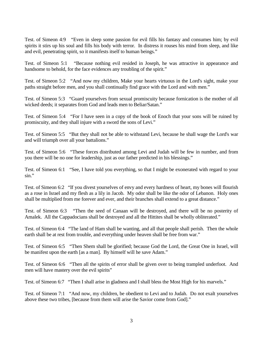Test. of Simeon 4:9 "Even in sleep some passion for evil fills his fantasy and consumes him; by evil spirits it stirs up his soul and fills his body with terror. In distress it rouses his mind from sleep, and like and evil, penetrating spirit, so it manifests itself to human beings."

Test. of Simeon 5:1 "Because nothing evil resided in Joseph, he was attractive in appearance and handsome to behold, for the face evidences any troubling of the spirit."

Test. of Simeon 5:2 "And now my children, Make your hearts virtuous in the Lord's sight, make your paths straight before men, and you shall continually find grace with the Lord and with men."

Test. of Simeon 5:3 "Guard yourselves from sexual promiscuity because fornication is the mother of all wicked deeds; it separates from God and leads men to Beliar/Satan."

Test. of Simeon 5:4 "For I have seen in a copy of the book of Enoch that your sons will be ruined by promiscuity, and they shall injure with a sword the sons of Levi."

Test. of Simeon 5:5 "But they shall not be able to withstand Levi, because he shall wage the Lord's war and will triumph over all your battalions."

Test. of Simeon 5:6 "These forces distributed among Levi and Judah will be few in number, and from you there will be no one for leadership, just as our father predicted in his blessings."

Test. of Simeon 6:1 "See, I have told you everything, so that I might be exonerated with regard to your sin."

Test. of Simeon 6:2 "If you divest yourselves of envy and every hardness of heart, my bones will flourish as a rose in Israel and my flesh as a lily in Jacob. My odor shall be like the odor of Lebanon. Holy ones shall be multiplied from me forever and ever, and their branches shall extend to a great distance."

Test. of Simeon 6:3 "Then the seed of Canaan will be destroyed, and there will be no posterity of Amalek. All the Cappadocians shall be destroyed and all the Hittites shall be wholly obliterated."

Test. of Simeon 6:4 "The land of Ham shall be wanting, and all that people shall perish. Then the whole earth shall be at rest from trouble, and everything under heaven shall be free from war."

Test. of Simeon 6:5 "Then Shem shall be glorified; because God the Lord, the Great One in Israel, will be manifest upon the earth [as a man]. By himself will he save Adam."

Test. of Simeon 6:6 "Then all the spirits of error shall be given over to being trampled underfoot. And men will have mastery over the evil spirits"

Test. of Simeon 6:7 "Then I shall arise in gladness and I shall bless the Most High for his marvels."

Test. of Simeon 7:1 "And now, my children, be obedient to Levi and to Judah. Do not exalt yourselves above these two tribes, [because from them will arise the Savior come from God]."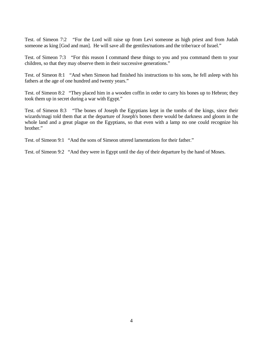Test. of Simeon 7:2 "For the Lord will raise up from Levi someone as high priest and from Judah someone as king [God and man]. He will save all the gentiles/nations and the tribe/race of Israel."

Test. of Simeon 7:3 "For this reason I command these things to you and you command them to your children, so that they may observe them in their successive generations."

Test. of Simeon 8:1 "And when Simeon had finished his instructions to his sons, he fell asleep with his fathers at the age of one hundred and twenty years."

Test. of Simeon 8:2 "They placed him in a wooden coffin in order to carry his bones up to Hebron; they took them up in secret during a war with Egypt."

Test. of Simeon 8:3 "The bones of Joseph the Egyptians kept in the tombs of the kings, since their wizards/magi told them that at the departure of Joseph's bones there would be darkness and gloom in the whole land and a great plague on the Egyptians, so that even with a lamp no one could recognize his brother."

Test. of Simeon 9:1 "And the sons of Simeon uttered lamentations for their father."

Test. of Simeon 9:2 "And they were in Egypt until the day of their departure by the hand of Moses.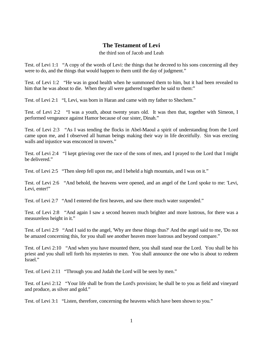## **The Testament of Levi**

the third son of Jacob and Leah

Test. of Levi 1:1 "A copy of the words of Levi: the things that he decreed to his sons concerning all they were to do, and the things that would happen to them until the day of judgment."

Test. of Levi 1:2 "He was in good health when he summoned them to him, but it had been revealed to him that he was about to die. When they all were gathered together he said to them:"

Test. of Levi 2:1 "I, Levi, was born in Haran and came with my father to Shechem."

Test. of Levi 2:2 "I was a youth, about twenty years old. It was then that, together with Simeon, I performed vengeance against Hamor because of our sister, Dinah."

Test. of Levi 2:3 "As I was tending the flocks in Abel-Maoul a spirit of understanding from the Lord came upon me, and I observed all human beings making their way in life deceitfully. Sin was erecting walls and injustice was ensconced in towers."

Test. of Levi 2:4 "I kept grieving over the race of the sons of men, and I prayed to the Lord that I might be delivered."

Test. of Levi 2:5 "Then sleep fell upon me, and I beheld a high mountain, and I was on it."

Test. of Levi 2:6 "And behold, the heavens were opened, and an angel of the Lord spoke to me: 'Levi, Levi, enter!"

Test. of Levi 2:7 "And I entered the first heaven, and saw there much water suspended."

Test. of Levi 2:8 "And again I saw a second heaven much brighter and more lustrous, for there was a measureless height in it."

Test. of Levi 2:9 "And I said to the angel, 'Why are these things thus?' And the angel said to me, 'Do not be amazed concerning this, for you shall see another heaven more lustrous and beyond compare."

Test. of Levi 2:10 "And when you have mounted there, you shall stand near the Lord. You shall be his priest and you shall tell forth his mysteries to men. You shall announce the one who is about to redeem Israel."

Test. of Levi 2:11 "Through you and Judah the Lord will be seen by men."

Test. of Levi 2:12 "Your life shall be from the Lord's provision; he shall be to you as field and vineyard and produce, as silver and gold."

Test. of Levi 3:1 "Listen, therefore, concerning the heavens which have been shown to you."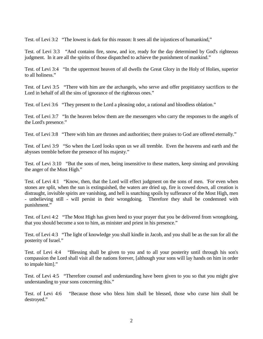Test. of Levi 3:2 "The lowest is dark for this reason: It sees all the injustices of humankind,"

Test. of Levi 3:3 "And contains fire, snow, and ice, ready for the day determined by God's righteous judgment. In it are all the spirits of those dispatched to achieve the punishment of mankind."

Test. of Levi 3:4 "In the uppermost heaven of all dwells the Great Glory in the Holy of Holies, superior to all holiness."

Test. of Levi 3:5 "There with him are the archangels, who serve and offer propitiatory sacrifices to the Lord in behalf of all the sins of ignorance of the righteous ones."

Test. of Levi 3:6 "They present to the Lord a pleasing odor, a rational and bloodless oblation."

Test. of Levi 3:7 "In the heaven below them are the messengers who carry the responses to the angels of the Lord's presence."

Test. of Levi 3:8 "There with him are thrones and authorities; there praises to God are offered eternally."

Test. of Levi 3:9 "So when the Lord looks upon us we all tremble. Even the heavens and earth and the abysses tremble before the presence of his majesty."

Test. of Levi 3:10 "But the sons of men, being insensitive to these matters, keep sinning and provoking the anger of the Most High."

Test. of Levi 4:1 "Know, then, that the Lord will effect judgment on the sons of men. 'For even when stones are split, when the sun is extinguished, the waters are dried up, fire is cowed down, all creation is distraught, invisible spirits are vanishing, and hell is snatching spoils by sufferance of the Most High, men - unbelieving still - will persist in their wrongdoing. Therefore they shall be condemned with punishment."

Test. of Levi 4:2 "The Most High has given heed to your prayer that you be delivered from wrongdoing, that you should become a son to him, as minister and priest in his presence."

Test. of Levi 4:3 "The light of knowledge you shall kindle in Jacob, and you shall be as the sun for all the posterity of Israel."

Test. of Levi 4:4 "Blessing shall be given to you and to all your posterity until through his son's compassion the Lord shall visit all the nations forever, [although your sons will lay hands on him in order to impale him]."

Test. of Levi 4:5 "Therefore counsel and understanding have been given to you so that you might give understanding to your sons concerning this."

Test. of Levi 4:6 "Because those who bless him shall be blessed, those who curse him shall be destroyed."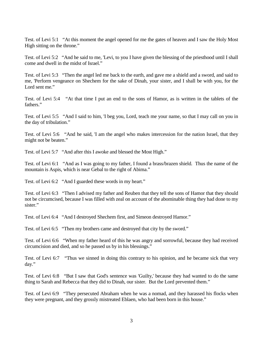Test. of Levi 5:1 "At this moment the angel opened for me the gates of heaven and I saw the Holy Most High sitting on the throne."

Test. of Levi 5:2 "And he said to me, 'Levi, to you I have given the blessing of the priesthood until I shall come and dwell in the midst of Israel."

Test. of Levi 5:3 "Then the angel led me back to the earth, and gave me a shield and a sword, and said to me, 'Perform vengeance on Shechem for the sake of Dinah, your sister, and I shall be with you, for the Lord sent me."

Test. of Levi 5:4 "At that time I put an end to the sons of Hamor, as is written in the tablets of the fathers."

Test. of Levi 5:5 "And I said to him, 'I beg you, Lord, teach me your name, so that I may call on you in the day of tribulation."

Test. of Levi 5:6 "And he said, 'I am the angel who makes intercession for the nation Israel, that they might not be beaten."

Test. of Levi 5:7 "And after this I awoke and blessed the Most High."

Test. of Levi 6:1 "And as I was going to my father, I found a brass/brazen shield. Thus the name of the mountain is Aspis, which is near Gebal to the right of Abima."

Test. of Levi 6:2 "And I guarded these words in my heart."

Test. of Levi 6:3 "Then I advised my father and Reuben that they tell the sons of Hamor that they should not be circumcised, because I was filled with zeal on account of the abominable thing they had done to my sister."

Test. of Levi 6:4 "And I destroyed Shechem first, and Simeon destroyed Hamor."

Test. of Levi 6:5 "Then my brothers came and destroyed that city by the sword."

Test. of Levi 6:6 "When my father heard of this he was angry and sorrowful, because they had received circumcision and died, and so he passed us by in his blessings."

Test. of Levi 6:7 "Thus we sinned in doing this contrary to his opinion, and he became sick that very day."

Test. of Levi 6:8 "But I saw that God's sentence was 'Guilty,' because they had wanted to do the same thing to Sarah and Rebecca that they did to Dinah, our sister. But the Lord prevented them."

Test. of Levi 6:9 "They persecuted Abraham when he was a nomad, and they harassed his flocks when they were pregnant, and they grossly mistreated Eblaen, who had been born in this house."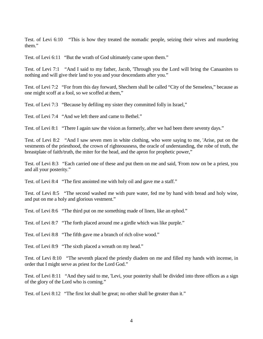Test. of Levi 6:10 "This is how they treated the nomadic people, seizing their wives and murdering them."

Test. of Levi 6:11 "But the wrath of God ultimately came upon them."

Test. of Levi 7:1 "And I said to my father, Jacob, 'Through you the Lord will bring the Canaanites to nothing and will give their land to you and your descendants after you."

Test. of Levi 7:2 "For from this day forward, Shechem shall be called "City of the Senseless," because as one might scoff at a fool, so we scoffed at them,"

Test. of Levi 7:3 "Because by defiling my sister they committed folly in Israel,"

Test. of Levi 7:4 "And we left there and came to Bethel."

Test. of Levi 8:1 "There I again saw the vision as formerly, after we had been there seventy days."

Test. of Levi 8:2 "And I saw seven men in white clothing, who were saying to me, 'Arise, put on the vestments of the priesthood, the crown of righteousness, the oracle of understanding, the robe of truth, the breastplate of faith/truth, the miter for the head, and the apron for prophetic power,"

Test. of Levi 8:3 "Each carried one of these and put them on me and said, 'From now on be a priest, you and all your posterity."

Test. of Levi 8:4 "The first anointed me with holy oil and gave me a staff."

Test. of Levi 8:5 "The second washed me with pure water, fed me by hand with bread and holy wine, and put on me a holy and glorious vestment."

Test. of Levi 8:6 "The third put on me something made of linen, like an ephod."

Test. of Levi 8:7 "The forth placed around me a girdle which was like purple."

Test. of Levi 8:8 "The fifth gave me a branch of rich olive wood."

Test. of Levi 8:9 "The sixth placed a wreath on my head."

Test. of Levi 8:10 "The seventh placed the priestly diadem on me and filled my hands with incense, in order that I might serve as priest for the Lord God."

Test. of Levi 8:11 "And they said to me, 'Levi, your posterity shall be divided into three offices as a sign of the glory of the Lord who is coming."

Test. of Levi 8:12 "The first lot shall be great; no other shall be greater than it."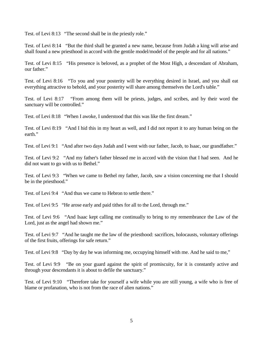Test. of Levi 8:13 "The second shall be in the priestly role."

Test. of Levi 8:14 "But the third shall be granted a new name, because from Judah a king will arise and shall found a new priesthood in accord with the gentile model/model of the people and for all nations."

Test. of Levi 8:15 "His presence is beloved, as a prophet of the Most High, a descendant of Abraham, our father."

Test. of Levi 8:16 "To you and your posterity will be everything desired in Israel, and you shall eat everything attractive to behold, and your posterity will share among themselves the Lord's table."

Test. of Levi 8:17 "From among them will be priests, judges, and scribes, and by their word the sanctuary will be controlled."

Test. of Levi 8:18 "When I awoke, I understood that this was like the first dream."

Test. of Levi 8:19 "And I hid this in my heart as well, and I did not report it to any human being on the earth."

Test. of Levi 9:1 "And after two days Judah and I went with our father, Jacob, to Isaac, our grandfather."

Test. of Levi 9:2 "And my father's father blessed me in accord with the vision that I had seen. And he did not want to go with us to Bethel."

Test. of Levi 9:3 "When we came to Bethel my father, Jacob, saw a vision concerning me that I should be in the priesthood."

Test. of Levi 9:4 "And thus we came to Hebron to settle there."

Test. of Levi 9:5 "He arose early and paid tithes for all to the Lord, through me."

Test. of Levi 9:6 "And Isaac kept calling me continually to bring to my remembrance the Law of the Lord, just as the angel had shown me."

Test. of Levi 9:7 "And he taught me the law of the priesthood: sacrifices, holocausts, voluntary offerings of the first fruits, offerings for safe return."

Test. of Levi 9:8 "Day by day he was informing me, occupying himself with me. And he said to me,"

Test. of Levi 9:9 "Be on your guard against the spirit of promiscuity, for it is constantly active and through your descendants it is about to defile the sanctuary."

Test. of Levi 9:10 "Therefore take for yourself a wife while you are still young, a wife who is free of blame or profanation, who is not from the race of alien nations."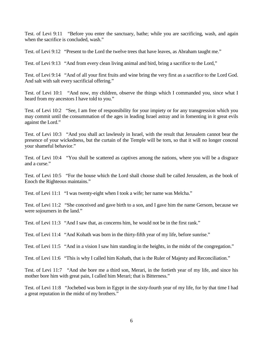Test. of Levi 9:11 "Before you enter the sanctuary, bathe; while you are sacrificing, wash, and again when the sacrifice is concluded, wash."

Test. of Levi 9:12 "Present to the Lord the twelve trees that have leaves, as Abraham taught me."

Test. of Levi 9:13 "And from every clean living animal and bird, bring a sacrifice to the Lord,"

Test. of Levi 9:14 "And of all your first fruits and wine bring the very first as a sacrifice to the Lord God. And salt with salt every sacrificial offering."

Test. of Levi 10:1 "And now, my children, observe the things which I commanded you, since what I heard from my ancestors I have told to you."

Test. of Levi 10:2 "See, I am free of responsibility for your impiety or for any transgression which you may commit until the consummation of the ages in leading Israel astray and in fomenting in it great evils against the Lord."

Test. of Levi 10:3 "And you shall act lawlessly in Israel, with the result that Jerusalem cannot bear the presence of your wickedness, but the curtain of the Temple will be torn, so that it will no longer conceal your shameful behavior."

Test. of Levi 10:4 "You shall be scattered as captives among the nations, where you will be a disgrace and a curse."

Test. of Levi 10:5 "For the house which the Lord shall choose shall be called Jerusalem, as the book of Enoch the Righteous maintains."

Test. of Levi 11:1 "I was twenty-eight when I took a wife; her name was Melcha."

Test. of Levi 11:2 "She conceived and gave birth to a son, and I gave him the name Gersom, because we were sojourners in the land."

Test. of Levi 11:3 "And I saw that, as concerns him, he would not be in the first rank."

Test. of Levi 11:4 "And Kohath was born in the thirty-fifth year of my life, before sunrise."

Test. of Levi 11:5 "And in a vision I saw him standing in the heights, in the midst of the congregation."

Test. of Levi 11:6 "This is why I called him Kohath, that is the Ruler of Majesty and Reconciliation."

Test. of Levi 11:7 "And she bore me a third son, Merari, in the fortieth year of my life, and since his mother bore him with great pain, I called him Merari; that is Bitterness."

Test. of Levi 11:8 "Jochebed was born in Egypt in the sixty-fourth year of my life, for by that time I had a great reputation in the midst of my brothers."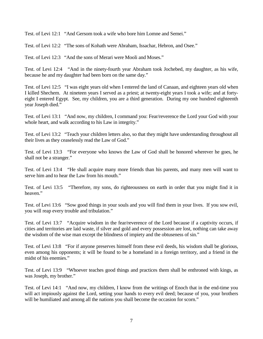Test. of Levi 12:1 "And Gersom took a wife who bore him Lomne and Semei."

Test. of Levi 12:2 "The sons of Kohath were Abraham, Issachar, Hebron, and Osee."

Test. of Levi 12:3 "And the sons of Merari were Mooli and Moses."

Test. of Levi 12:4 "And in the ninety-fourth year Abraham took Jochebed, my daughter, as his wife, because he and my daughter had been born on the same day."

Test. of Levi 12:5 "I was eight years old when I entered the land of Canaan, and eighteen years old when I killed Shechem. At nineteen years I served as a priest; at twenty-eight years I took a wife; and at fortyeight I entered Egypt. See, my children, you are a third generation. During my one hundred eighteenth year Joseph died."

Test. of Levi 13:1 "And now, my children, I command you: Fear/reverence the Lord your God with your whole heart, and walk according to his Law in integrity."

Test. of Levi 13:2 "Teach your children letters also, so that they might have understanding throughout all their lives as they ceaselessly read the Law of God."

Test. of Levi 13:3 "For everyone who knows the Law of God shall be honored wherever he goes, he shall not be a stranger."

Test. of Levi 13:4 "He shall acquire many more friends than his parents, and many men will want to serve him and to hear the Law from his mouth."

Test. of Levi 13:5 "Therefore, my sons, do righteousness on earth in order that you might find it in heaven."

Test. of Levi 13:6 "Sow good things in your souls and you will find them in your lives. If you sow evil, you will reap every trouble and tribulation."

Test. of Levi 13:7 "Acquire wisdom in the fear/reverence of the Lord because if a captivity occurs, if cities and territories are laid waste, if silver and gold and every possession are lost, nothing can take away the wisdom of the wise man except the blindness of impiety and the obtuseness of sin."

Test. of Levi 13:8 "For if anyone preserves himself from these evil deeds, his wisdom shall be glorious, even among his opponents; it will be found to be a homeland in a foreign territory, and a friend in the midst of his enemies."

Test. of Levi 13:9 "Whoever teaches good things and practices them shall be enthroned with kings, as was Joseph, my brother."

Test. of Levi 14:1 "And now, my children, I know from the writings of Enoch that in the end-time you will act impiously against the Lord, setting your hands to every evil deed; because of you, your brothers will be humiliated and among all the nations you shall become the occasion for scorn."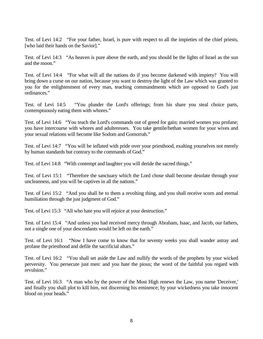Test. of Levi 14:2 "For your father, Israel, is pure with respect to all the impieties of the chief priests, [who laid their hands on the Savior]."

Test. of Levi 14:3 "As heaven is pure above the earth, and you should be the lights of Israel as the sun and the moon."

Test. of Levi 14:4 "For what will all the nations do if you become darkened with impiety? You will bring down a curse on our nation, because you want to destroy the light of the Law which was granted to you for the enlightenment of every man, teaching commandments which are opposed to God's just ordinances."

Test. of Levi 14:5 "You plunder the Lord's offerings; from his share you steal choice parts, contemptuously eating them with whores."

Test. of Levi 14:6 "You teach the Lord's commands out of greed for gain; married women you profane; you have intercourse with whores and adulteresses. You take gentile/hethan women for your wives and your sexual relations will become like Sodom and Gomorrah."

Test. of Levi 14:7 "You will be inflated with pride over your priesthood, exalting yourselves not merely by human standards but contrary to the commands of God."

Test. of Levi 14:8 "With contempt and laughter you will deride the sacred things."

Test. of Levi 15:1 "Therefore the sanctuary which the Lord chose shall become desolate through your uncleanness, and you will be captives in all the nations."

Test. of Levi 15:2 "And you shall be to them a revolting thing, and you shall receive scorn and eternal humiliation through the just judgment of God."

Test. of Levi 15:3 "All who hate you will rejoice at your destruction."

Test. of Levi 15:4 "And unless you had received mercy through Abraham, Isaac, and Jacob, our fathers, not a single one of your descendants would be left on the earth."

Test. of Levi 16:1 "Now I have come to know that for seventy weeks you shall wander astray and profane the priesthood and defile the sacrificial altars."

Test. of Levi 16:2 "You shall set aside the Law and nullify the words of the prophets by your wicked perversity. You persecute just men: and you hate the pious; the word of the faithful you regard with revulsion."

Test. of Levi 16:3 "A man who by the power of the Most High renews the Law, you name 'Deceiver,' and finally you shall plot to kill him, not discerning his eminence; by your wickedness you take innocent blood on your heads."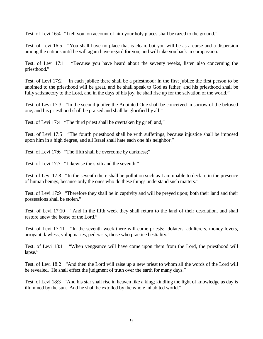Test. of Levi 16:4 "I tell you, on account of him your holy places shall be razed to the ground."

Test. of Levi 16:5 "You shall have no place that is clean, but you will be as a curse and a dispersion among the nations until he will again have regard for you, and will take you back in compassion."

Test. of Levi 17:1 "Because you have heard about the seventy weeks, listen also concerning the priesthood."

Test. of Levi 17:2 "In each jubilee there shall be a priesthood: In the first jubilee the first person to be anointed to the priesthood will be great, and he shall speak to God as father; and his priesthood shall be fully satisfactory to the Lord, and in the days of his joy, he shall rise up for the salvation of the world."

Test. of Levi 17:3 "In the second jubilee the Anointed One shall be conceived in sorrow of the beloved one, and his priesthood shall be praised and shall be glorified by all."

Test. of Levi 17:4 "The third priest shall be overtaken by grief, and,"

Test. of Levi 17:5 "The fourth priesthood shall be with sufferings, because injustice shall be imposed upon him in a high degree, and all Israel shall hate each one his neighbor."

Test. of Levi 17:6 "The fifth shall be overcome by darkness;"

Test. of Levi 17:7 "Likewise the sixth and the seventh."

Test. of Levi 17:8 "In the seventh there shall be pollution such as I am unable to declare in the presence of human beings, because only the ones who do these things understand such matters."

Test. of Levi 17:9 "Therefore they shall be in captivity and will be preyed upon; both their land and their possessions shall be stolen."

Test. of Levi 17:10 "And in the fifth week they shall return to the land of their desolation, and shall restore anew the house of the Lord."

Test. of Levi 17:11 "In the seventh week there will come priests; idolaters, adulterers, money lovers, arrogant, lawless, voluptuaries, pederasts, those who practice bestiality."

Test. of Levi 18:1 "When vengeance will have come upon them from the Lord, the priesthood will lapse."

Test. of Levi 18:2 "And then the Lord will raise up a new priest to whom all the words of the Lord will be revealed. He shall effect the judgment of truth over the earth for many days."

Test. of Levi 18:3 "And his star shall rise in heaven like a king; kindling the light of knowledge as day is illumined by the sun. And he shall be extolled by the whole inhabited world."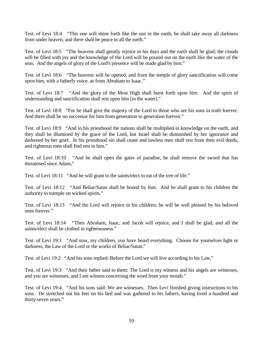Test. of Levi 18:4 "This one will shine forth like the sun in the earth; he shall take away all darkness from under heaven, and there shall be peace in all the earth."

Test. of Levi 18:5 "The heavens shall greatly rejoice in his days and the earth shall be glad; the clouds will be filled with joy and the knowledge of the Lord will be poured out on the earth like the water of the seas. And the angels of glory of the Lord's presence will be made glad by him."

Test. of Levi 18:6 "The heavens will be opened, and from the temple of glory sanctification will come upon him, with a fatherly voice, as from Abraham to Isaac."

Test. of Levi 18:7 "And the glory of the Most High shall burst forth upon him. And the spirit of understanding and sanctification shall rest upon him [in the water]."

Test. of Levi 18:8 "For he shall give the majesty of the Lord to those who are his sons in truth forever. And there shall be no successor for him from generation to generation forever."

Test. of Levi 18:9 "And in his priesthood the nations shall be multiplied in knowledge on the earth, and they shall be illumined by the grace of the Lord, but Israel shall be diminished by her ignorance and darkened by her grief. In his priesthood sin shall cease and lawless men shall rest from their evil deeds, and righteous men shall find rest in him."

Test. of Levi 18:10 "And he shall open the gates of paradise, he shall remove the sword that has threatened since Adam,"

Test. of Levi 18:11 "And he will grant to the saints/elect to eat of the tree of life."

Test. of Levi 18:12 "And Beliar/Satan shall be bound by him. And he shall grant to his children the authority to trample on wicked spirits."

Test. of Levi 18:13 "And the Lord will rejoice in his children; he will be well pleased by his beloved ones forever."

Test. of Levi 18:14 "Then Abraham, Isaac, and Jacob will rejoice, and I shall be glad, and all the saints/elect shall be clothed in righteousness."

Test. of Levi 19:1 "And now, my children, you have heard everything. Choose for yourselves light or darkness, the Law of the Lord or the works of Beliar/Satan."

Test. of Levi 19:2 "And his sons replied: Before the Lord we will live according to his Law,"

Test. of Levi 19:3 "And their father said to them: The Lord is my witness and his angels are witnesses, and you are witnesses, and I am witness concerning the word from your mouth."

Test. of Levi 19:4 "And his sons said: We are witnesses. Then Levi finished giving instructions to his sons. He stretched out his feet on his bed and was gathered to his fathers, having lived a hundred and thirty-seven years."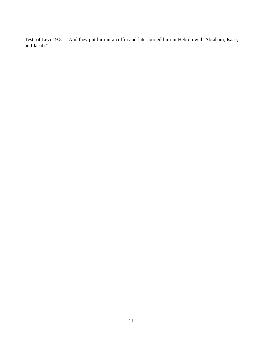Test. of Levi 19:5 "And they put him in a coffin and later buried him in Hebron with Abraham, Isaac, and Jacob."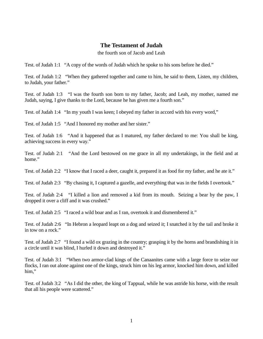#### **The Testament of Judah**

the fourth son of Jacob and Leah

Test. of Judah 1:1 "A copy of the words of Judah which he spoke to his sons before he died."

Test. of Judah 1:2 "When they gathered together and came to him, he said to them, Listen, my children, to Judah, your father."

Test. of Judah 1:3 "I was the fourth son born to my father, Jacob; and Leah, my mother, named me Judah, saying, I give thanks to the Lord, because he has given me a fourth son."

Test. of Judah 1:4 "In my youth I was keen; I obeyed my father in accord with his every word,"

Test. of Judah 1:5 "And I honored my mother and her sister."

Test. of Judah 1:6 "And it happened that as I matured, my father declared to me: You shall be king, achieving success in every way."

Test. of Judah 2:1 "And the Lord bestowed on me grace in all my undertakings, in the field and at home."

Test. of Judah 2:2 "I know that I raced a deer, caught it, prepared it as food for my father, and he ate it."

Test. of Judah 2:3 "By chasing it, I captured a gazelle, and everything that was in the fields I overtook."

Test. of Judah 2:4 "I killed a lion and removed a kid from its mouth. Seizing a bear by the paw, I dropped it over a cliff and it was crushed."

Test. of Judah 2:5 "I raced a wild boar and as I ran, overtook it and dismembered it."

Test. of Judah 2:6 "In Hebron a leopard leapt on a dog and seized it; I snatched it by the tail and broke it in tow on a rock."

Test. of Judah 2:7 "I found a wild ox grazing in the country; grasping it by the horns and brandishing it in a circle until it was blind, I hurled it down and destroyed it."

Test. of Judah 3:1 "When two armor-clad kings of the Canaanites came with a large force to seize our flocks, I ran out alone against one of the kings, struck him on his leg armor, knocked him down, and killed him,"

Test. of Judah 3:2 "As I did the other, the king of Tappual, while he was astride his horse, with the result that all his people were scattered."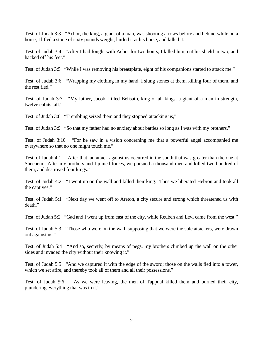Test. of Judah 3:3 "Achor, the king, a giant of a man, was shooting arrows before and behind while on a horse; I lifted a stone of sixty pounds weight, hurled it at his horse, and killed it."

Test. of Judah 3:4 "After I had fought with Achor for two hours, I killed him, cut his shield in two, and hacked off his feet."

Test. of Judah 3:5 "While I was removing his breastplate, eight of his companions started to attack me."

Test. of Judah 3:6 "Wrapping my clothing in my hand, I slung stones at them, killing four of them, and the rest fled."

Test. of Judah 3:7 "My father, Jacob, killed Belisath, king of all kings, a giant of a man in strength, twelve cubits tall."

Test. of Judah 3:8 "Trembling seized them and they stopped attacking us,"

Test. of Judah 3:9 "So that my father had no anxiety about battles so long as I was with my brothers."

Test. of Judah 3:10 "For he saw in a vision concerning me that a powerful angel accompanied me everywhere so that no one might touch me."

Test. of Judah 4:1 "After that, an attack against us occurred in the south that was greater than the one at Shechem. After my brothers and I joined forces, we pursued a thousand men and killed two hundred of them, and destroyed four kings."

Test. of Judah 4:2 "I went up on the wall and killed their king. Thus we liberated Hebron and took all the captives."

Test. of Judah 5:1 "Next day we went off to Areton, a city secure and strong which threatened us with death."

Test. of Judah 5:2 "Gad and I went up from east of the city, while Reuben and Levi came from the west."

Test. of Judah 5:3 "Those who were on the wall, supposing that we were the sole attackers, were drawn out against us."

Test. of Judah 5:4 "And so, secretly, by means of pegs, my brothers climbed up the wall on the other sides and invaded the city without their knowing it."

Test. of Judah 5:5 "And we captured it with the edge of the sword; those on the walls fled into a tower, which we set afire, and thereby took all of them and all their possessions."

Test. of Judah 5:6 "As we were leaving, the men of Tappual killed them and burned their city, plundering everything that was in it."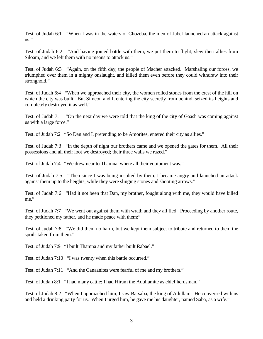Test. of Judah 6:1 "When I was in the waters of Chozeba, the men of Jabel launched an attack against  $\overline{\mathbf{u}}$ ."

Test. of Judah 6:2 "And having joined battle with them, we put them to flight, slew their allies from Siloam, and we left them with no means to attack us."

Test. of Judah 6:3 "Again, on the fifth day, the people of Macher attacked. Marshaling our forces, we triumphed over them in a mighty onslaught, and killed them even before they could withdraw into their stronghold."

Test. of Judah 6:4 "When we approached their city, the women rolled stones from the crest of the hill on which the city was built. But Simeon and I, entering the city secretly from behind, seized its heights and completely destroyed it as well."

Test. of Judah 7:1 "On the next day we were told that the king of the city of Gaash was coming against us with a large force."

Test. of Judah 7:2 "So Dan and I, pretending to be Amorites, entered their city as allies."

Test. of Judah 7:3 "In the depth of night our brothers came and we opened the gates for them. All their possessions and all their loot we destroyed; their three walls we razed."

Test. of Judah 7:4 "We drew near to Thamna, where all their equipment was."

Test. of Judah 7:5 "Then since I was being insulted by them, I became angry and launched an attack against them up to the heights, while they were slinging stones and shooting arrows."

Test. of Judah 7:6 "Had it not been that Dan, my brother, fought along with me, they would have killed me."

Test. of Judah 7:7 "We went out against them with wrath and they all fled. Proceeding by another route, they petitioned my father, and he made peace with them;"

Test. of Judah 7:8 "We did them no harm, but we kept them subject to tribute and returned to them the spoils taken from them."

Test. of Judah 7:9 "I built Thamna and my father built Rabael."

Test. of Judah 7:10 "I was twenty when this battle occurred."

Test. of Judah 7:11 "And the Canaanites were fearful of me and my brothers."

Test. of Judah 8:1 "I had many cattle; I had Hiram the Adullamite as chief herdsman."

Test. of Judah 8:2 "When I approached him, I saw Barsaba, the king of Adullam. He conversed with us and held a drinking party for us. When I urged him, he gave me his daughter, named Saba, as a wife."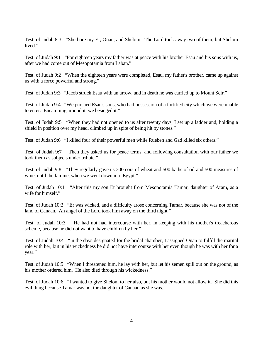Test. of Judah 8:3 "She bore my Er, Onan, and Shelom. The Lord took away two of them, but Shelom lived."

Test. of Judah 9:1 "For eighteen years my father was at peace with his brother Esau and his sons with us, after we had come out of Mesopotamia from Laban."

Test. of Judah 9:2 "When the eighteen years were completed, Esau, my father's brother, came up against us with a force powerful and strong."

Test. of Judah 9:3 "Jacob struck Esau with an arrow, and in death he was carried up to Mount Seir."

Test. of Judah 9:4 "We pursued Esau's sons, who had possession of a fortified city which we were unable to enter. Encamping around it, we besieged it."

Test. of Judah 9:5 "When they had not opened to us after twenty days, I set up a ladder and, holding a shield in position over my head, climbed up in spite of being hit by stones."

Test. of Judah 9:6 "I killed four of their powerful men while Rueben and Gad killed six others."

Test. of Judah 9:7 "Then they asked us for peace terms, and following consultation with our father we took them as subjects under tribute."

Test. of Judah 9:8 "They regularly gave us 200 cors of wheat and 500 baths of oil and 500 measures of wine, until the famine, when we went down into Egypt."

Test. of Judah 10:1 "After this my son Er brought from Mesopotamia Tamar, daughter of Aram, as a wife for himself."

Test. of Judah 10:2 "Er was wicked, and a difficulty arose concerning Tamar, because she was not of the land of Canaan. An angel of the Lord took him away on the third night."

Test. of Judah 10:3 "He had not had intercourse with her, in keeping with his mother's treacherous scheme, because he did not want to have children by her."

Test. of Judah 10:4 "In the days designated for the bridal chamber, I assigned Onan to fulfill the marital role with her, but in his wickedness he did not have intercourse with her even though he was with her for a year."

Test. of Judah 10:5 "When I threatened him, he lay with her, but let his semen spill out on the ground, as his mother ordered him. He also died through his wickedness."

Test. of Judah 10:6 "I wanted to give Shelom to her also, but his mother would not allow it. She did this evil thing because Tamar was not the daughter of Canaan as she was."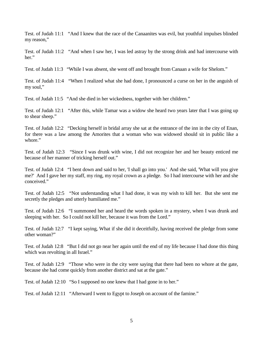Test. of Judah 11:1 "And I knew that the race of the Canaanites was evil, but youthful impulses blinded my reason,"

Test. of Judah 11:2 "And when I saw her, I was led astray by the strong drink and had intercourse with her."

Test. of Judah 11:3 "While I was absent, she went off and brought from Canaan a wife for Shelom."

Test. of Judah 11:4 "When I realized what she had done, I pronounced a curse on her in the anguish of my soul,"

Test. of Judah 11:5 "And she died in her wickedness, together with her children."

Test. of Judah 12:1 "After this, while Tamar was a widow she heard two years later that I was going up to shear sheep."

Test. of Judah 12:2 "Decking herself in bridal array she sat at the entrance of the inn in the city of Enan, for there was a law among the Amorites that a woman who was widowed should sit in public like a whore."

Test. of Judah 12:3 "Since I was drunk with wine, I did not recognize her and her beauty enticed me because of her manner of tricking herself out."

Test. of Judah 12:4 "I bent down and said to her, 'I shall go into you.' And she said, 'What will you give me?' And I gave her my staff, my ring, my royal crown as a pledge. So I had intercourse with her and she conceived."

Test. of Judah 12:5 "Not understanding what I had done, it was my wish to kill her. But she sent me secretly the pledges and utterly humiliated me."

Test. of Judah 12:6 "I summoned her and heard the words spoken in a mystery, when I was drunk and sleeping with her. So I could not kill her, because it was from the Lord."

Test. of Judah 12:7 "I kept saying, What if she did it deceitfully, having received the pledge from some other woman?"

Test. of Judah 12:8 "But I did not go near her again until the end of my life because I had done this thing which was revolting in all Israel."

Test. of Judah 12:9 "Those who were in the city were saying that there had been no whore at the gate, because she had come quickly from another district and sat at the gate."

Test. of Judah 12:10 "So I supposed no one knew that I had gone in to her."

Test. of Judah 12:11 "Afterward I went to Egypt to Joseph on account of the famine."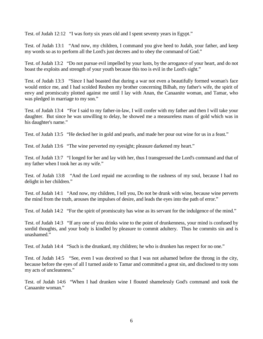Test. of Judah 12:12 "I was forty six years old and I spent seventy years in Egypt."

Test. of Judah 13:1 "And now, my children, I command you give heed to Judah, your father, and keep my words so as to perform all the Lord's just decrees and to obey the command of God."

Test. of Judah 13:2 "Do not pursue evil impelled by your lusts, by the arrogance of your heart, and do not boast the exploits and strength of your youth because this too is evil in the Lord's sight."

Test. of Judah 13:3 "Since I had boasted that during a war not even a beautifully formed woman's face would entice me, and I had scolded Reuben my brother concerning Bilhah, my father's wife, the spirit of envy and promiscuity plotted against me until I lay with Anan, the Canaanite woman, and Tamar, who was pledged in marriage to my son."

Test. of Judah 13:4 "For I said to my father-in-law, I will confer with my father and then I will take your daughter. But since he was unwilling to delay, he showed me a measureless mass of gold which was in his daughter's name."

Test. of Judah 13:5 "He decked her in gold and pearls, and made her pour out wine for us in a feast."

Test. of Judah 13:6 "The wine perverted my eyesight; pleasure darkened my heart."

Test. of Judah 13:7 "I longed for her and lay with her, thus I transgressed the Lord's command and that of my father when I took her as my wife."

Test. of Judah 13:8 "And the Lord repaid me according to the rashness of my soul, because I had no delight in her children."

Test. of Judah 14:1 "And now, my children, I tell you, Do not be drunk with wine, because wine perverts the mind from the truth, arouses the impulses of desire, and leads the eyes into the path of error."

Test. of Judah 14:2 "For the spirit of promiscuity has wine as its servant for the indulgence of the mind."

Test. of Judah 14:3 "If any one of you drinks wine to the point of drunkenness, your mind is confused by sordid thoughts, and your body is kindled by pleasure to commit adultery. Thus he commits sin and is unashamed."

Test. of Judah 14:4 "Such is the drunkard, my children; he who is drunken has respect for no one."

Test. of Judah 14:5 "See, even I was deceived so that I was not ashamed before the throng in the city, because before the eyes of all I turned aside to Tamar and committed a great sin, and disclosed to my sons my acts of uncleanness."

Test. of Judah 14:6 "When I had drunken wine I flouted shamelessly God's command and took the Canaanite woman."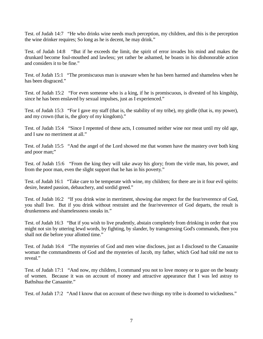Test. of Judah 14:7 "He who drinks wine needs much perception, my children, and this is the perception the wine drinker requires; So long as he is decent, he may drink."

Test. of Judah 14:8 "But if he exceeds the limit, the spirit of error invades his mind and makes the drunkard become foul-mouthed and lawless; yet rather be ashamed, he boasts in his dishonorable action and considers it to be fine."

Test. of Judah 15:1 "The promiscuous man is unaware when he has been harmed and shameless when he has been disgraced."

Test. of Judah 15:2 "For even someone who is a king, if he is promiscuous, is divested of his kingship, since he has been enslaved by sexual impulses, just as I experienced."

Test. of Judah 15:3 "For I gave my staff (that is, the stability of my tribe), my girdle (that is, my power), and my crown (that is, the glory of my kingdom)."

Test. of Judah 15:4 "Since I repented of these acts, I consumed neither wine nor meat until my old age, and I saw no merriment at all."

Test. of Judah 15:5 "And the angel of the Lord showed me that women have the mastery over both king and poor man;"

Test. of Judah 15:6 "From the king they will take away his glory; from the virile man, his power, and from the poor man, even the slight support that he has in his poverty."

Test. of Judah 16:1 "Take care to be temperate with wine, my children; for there are in it four evil spirits: desire, heated passion, debauchery, and sordid greed."

Test. of Judah 16:2 "If you drink wine in merriment, showing due respect for the fear/reverence of God, you shall live. But if you drink without restraint and the fear/reverence of God departs, the result is drunkenness and shamelessness sneaks in."

Test. of Judah 16:3 "But if you wish to live prudently, abstain completely from drinking in order that you might not sin by uttering lewd words, by fighting, by slander, by transgressing God's commands, then you shall not die before your allotted time."

Test. of Judah 16:4 "The mysteries of God and men wine discloses, just as I disclosed to the Canaanite woman the commandments of God and the mysteries of Jacob, my father, which God had told me not to reveal."

Test. of Judah 17:1 "And now, my children, I command you not to love money or to gaze on the beauty of women. Because it was on account of money and attractive appearance that I was led astray to Bathshua the Canaanite."

Test. of Judah 17:2 "And I know that on account of these two things my tribe is doomed to wickedness."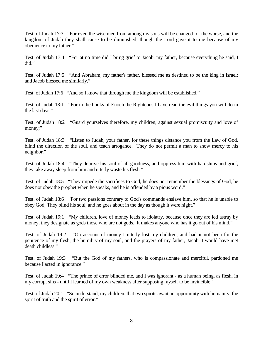Test. of Judah 17:3 "For even the wise men from among my sons will be changed for the worse, and the kingdom of Judah they shall cause to be diminished, though the Lord gave it to me because of my obedience to my father."

Test. of Judah 17:4 "For at no time did I bring grief to Jacob, my father, because everything he said, I did."

Test. of Judah 17:5 "And Abraham, my father's father, blessed me as destined to be the king in Israel; and Jacob blessed me similarly."

Test. of Judah 17:6 "And so I know that through me the kingdom will be established."

Test. of Judah 18:1 "For in the books of Enoch the Righteous I have read the evil things you will do in the last days."

Test. of Judah 18:2 "Guard yourselves therefore, my children, against sexual promiscuity and love of money;"

Test. of Judah 18:3 "Listen to Judah, your father, for these things distance you from the Law of God, blind the direction of the soul, and teach arrogance. They do not permit a man to show mercy to his neighbor."

Test. of Judah 18:4 "They deprive his soul of all goodness, and oppress him with hardships and grief, they take away sleep from him and utterly waste his flesh."

Test. of Judah 18:5 "They impede the sacrifices to God, he does not remember the blessings of God, he does not obey the prophet when he speaks, and he is offended by a pious word."

Test. of Judah 18:6 "For two passions contrary to God's commands enslave him, so that he is unable to obey God; They blind his soul, and he goes about in the day as though it were night."

Test. of Judah 19:1 "My children, love of money leads to idolatry, because once they are led astray by money, they designate as gods those who are not gods. It makes anyone who has it go out of his mind."

Test. of Judah 19:2 "On account of money I utterly lost my children, and had it not been for the penitence of my flesh, the humility of my soul, and the prayers of my father, Jacob, I would have met death childless."

Test. of Judah 19:3 "But the God of my fathers, who is compassionate and merciful, pardoned me because I acted in ignorance."

Test. of Judah 19:4 "The prince of error blinded me, and I was ignorant - as a human being, as flesh, in my corrupt sins - until I learned of my own weakness after supposing myself to be invincible"

Test. of Judah 20:1 "So understand, my children, that two spirits await an opportunity with humanity: the spirit of truth and the spirit of error."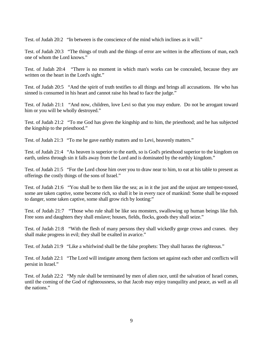Test. of Judah 20:2 "In between is the conscience of the mind which inclines as it will."

Test. of Judah 20:3 "The things of truth and the things of error are written in the affections of man, each one of whom the Lord knows."

Test. of Judah 20:4 "There is no moment in which man's works can be concealed, because they are written on the heart in the Lord's sight."

Test. of Judah 20:5 "And the spirit of truth testifies to all things and brings all accusations. He who has sinned is consumed in his heart and cannot raise his head to face the judge."

Test. of Judah 21:1 "And now, children, love Levi so that you may endure. Do not be arrogant toward him or you will be wholly destroyed."

Test. of Judah 21:2 "To me God has given the kingship and to him, the priesthood; and he has subjected the kingship to the priesthood."

Test. of Judah 21:3 "To me he gave earthly matters and to Levi, heavenly matters."

Test. of Judah 21:4 "As heaven is superior to the earth, so is God's priesthood superior to the kingdom on earth, unless through sin it falls away from the Lord and is dominated by the earthly kingdom."

Test. of Judah 21:5 "For the Lord chose him over you to draw near to him, to eat at his table to present as offerings the costly things of the sons of Israel."

Test. of Judah 21:6 "You shall be to them like the sea; as in it the just and the unjust are tempest-tossed, some are taken captive, some become rich, so shall it be in every race of mankind: Some shall be exposed to danger, some taken captive, some shall grow rich by looting:"

Test. of Judah 21:7 "Those who rule shall be like sea monsters, swallowing up human beings like fish. Free sons and daughters they shall enslave; houses, fields, flocks, goods they shall seize."

Test. of Judah 21:8 "With the flesh of many persons they shall wickedly gorge crows and cranes. they shall make progress in evil; they shall be exalted in avarice."

Test. of Judah 21:9 "Like a whirlwind shall be the false prophets: They shall harass the righteous."

Test. of Judah 22:1 "The Lord will instigate among them factions set against each other and conflicts will persist in Israel."

Test. of Judah 22:2 "My rule shall be terminated by men of alien race, until the salvation of Israel comes, until the coming of the God of righteousness, so that Jacob may enjoy tranquility and peace, as well as all the nations."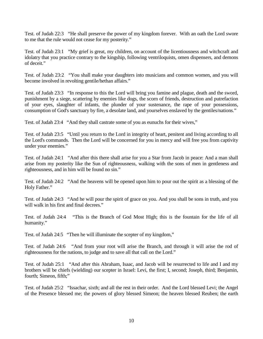Test. of Judah 22:3 "He shall preserve the power of my kingdom forever. With an oath the Lord swore to me that the rule would not cease for my posterity."

Test. of Judah 23:1 "My grief is great, my children, on account of the licentiousness and witchcraft and idolatry that you practice contrary to the kingship, following ventriloquists, omen dispensers, and demons of deceit."

Test. of Judah 23:2 "You shall make your daughters into musicians and common women, and you will become involved in revolting gentile/hethan affairs."

Test. of Judah 23:3 "In response to this the Lord will bring you famine and plague, death and the sword, punishment by a siege, scattering by enemies like dogs, the scorn of friends, destruction and putrefaction of your eyes, slaughter of infants, the plunder of your sustenance, the rape of your possessions, consumption of God's sanctuary by fire, a desolate land, and yourselves enslaved by the gentiles/nations."

Test. of Judah 23:4 "And they shall castrate some of you as eunuchs for their wives,"

Test. of Judah 23:5 "Until you return to the Lord in integrity of heart, penitent and living according to all the Lord's commands. Then the Lord will be concerned for you in mercy and will free you from captivity under your enemies."

Test. of Judah 24:1 "And after this there shall arise for you a Star from Jacob in peace: And a man shall arise from my posterity like the Sun of righteousness, walking with the sons of men in gentleness and righteousness, and in him will be found no sin."

Test. of Judah 24:2 "And the heavens will be opened upon him to pour out the spirit as a blessing of the Holy Father."

Test. of Judah 24:3 "And he will pour the spirit of grace on you. And you shall be sons in truth, and you will walk in his first and final decrees."

Test. of Judah 24:4 "This is the Branch of God Most High; this is the fountain for the life of all humanity."

Test. of Judah 24:5 "Then he will illuminate the scepter of my kingdom,"

Test. of Judah 24:6 "And from your root will arise the Branch, and through it will arise the rod of righteousness for the nations, to judge and to save all that call on the Lord."

Test. of Judah 25:1 "And after this Abraham, Isaac, and Jacob will be resurrected to life and I and my brothers will be chiefs (wielding) our scepter in Israel: Levi, the first; I, second; Joseph, third; Benjamin, fourth; Simeon, fifth;"

Test. of Judah 25:2 "Issachar, sixth; and all the rest in their order. And the Lord blessed Levi; the Angel of the Presence blessed me; the powers of glory blessed Simeon; the heaven blessed Reuben; the earth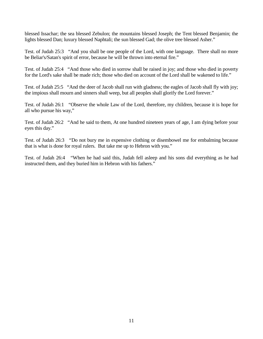blessed Issachar; the sea blessed Zebulon; the mountains blessed Joseph; the Tent blessed Benjamin; the lights blessed Dan; luxury blessed Naphtali; the sun blessed Gad; the olive tree blessed Asher."

Test. of Judah 25:3 "And you shall be one people of the Lord, with one language. There shall no more be Beliar's/Satan's spirit of error, because he will be thrown into eternal fire."

Test. of Judah 25:4 "And those who died in sorrow shall be raised in joy; and those who died in poverty for the Lord's sake shall be made rich; those who died on account of the Lord shall be wakened to life."

Test. of Judah 25:5 "And the deer of Jacob shall run with gladness; the eagles of Jacob shall fly with joy; the impious shall mourn and sinners shall weep, but all peoples shall glorify the Lord forever."

Test. of Judah 26:1 "Observe the whole Law of the Lord, therefore, my children, because it is hope for all who pursue his way,"

Test. of Judah 26:2 "And he said to them, At one hundred nineteen years of age, I am dying before your eyes this day."

Test. of Judah 26:3 "Do not bury me in expensive clothing or disembowel me for embalming because that is what is done for royal rulers. But take me up to Hebron with you."

Test. of Judah 26:4 "When he had said this, Judah fell asleep and his sons did everything as he had instructed them, and they buried him in Hebron with his fathers."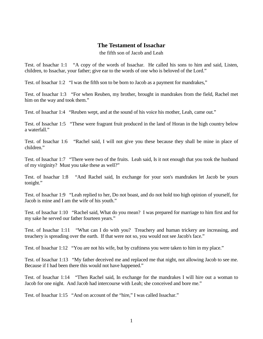### **The Testament of Issachar**

the fifth son of Jacob and Leah

Test. of Issachar 1:1 "A copy of the words of Issachar. He called his sons to him and said, Listen, children, to Issachar, your father; give ear to the words of one who is beloved of the Lord."

Test. of Issachar 1:2 "I was the fifth son to be born to Jacob as a payment for mandrakes,"

Test. of Issachar 1:3 "For when Reuben, my brother, brought in mandrakes from the field, Rachel met him on the way and took them."

Test. of Issachar 1:4 "Reuben wept, and at the sound of his voice his mother, Leah, came out."

Test. of Issachar 1:5 "These were fragrant fruit produced in the land of Horan in the high country below a waterfall."

Test. of Issachar 1:6 "Rachel said, I will not give you these because they shall be mine in place of children."

Test. of Issachar 1:7 "There were two of the fruits. Leah said, Is it not enough that you took the husband of my virginity? Must you take these as well?"

Test. of Issachar 1:8 "And Rachel said, In exchange for your son's mandrakes let Jacob be yours tonight."

Test. of Issachar 1:9 "Leah replied to her, Do not boast, and do not hold too high opinion of yourself, for Jacob is mine and I am the wife of his youth."

Test. of Issachar 1:10 "Rachel said, What do you mean? I was prepared for marriage to him first and for my sake he served our father fourteen years."

Test. of Issachar 1:11 "What can I do with you? Treachery and human trickery are increasing, and treachery is spreading over the earth. If that were not so, you would not see Jacob's face."

Test. of Issachar 1:12 "You are not his wife, but by craftiness you were taken to him in my place."

Test. of Issachar 1:13 "My father deceived me and replaced me that night, not allowing Jacob to see me. Because if I had been there this would not have happened."

Test. of Issachar 1:14 "Then Rachel said, In exchange for the mandrakes I will hire out a woman to Jacob for one night. And Jacob had intercourse with Leah; she conceived and bore me."

Test. of Issachar 1:15 "And on account of the "hire," I was called Issachar."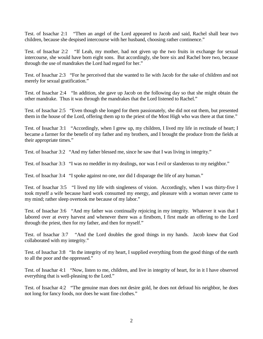Test. of Issachar 2:1 "Then an angel of the Lord appeared to Jacob and said, Rachel shall bear two children, because she despised intercourse with her husband, choosing rather continence."

Test. of Issachar 2:2 "If Leah, my mother, had not given up the two fruits in exchange for sexual intercourse, she would have born eight sons. But accordingly, she bore six and Rachel bore two, because through the use of mandrakes the Lord had regard for her."

Test. of Issachar 2:3 "For he perceived that she wanted to lie with Jacob for the sake of children and not merely for sexual gratification."

Test. of Issachar 2:4 "In addition, she gave up Jacob on the following day so that she might obtain the other mandrake. Thus it was through the mandrakes that the Lord listened to Rachel."

Test. of Issachar 2:5 "Even though she longed for them passionately, she did not eat them, but presented them in the house of the Lord, offering them up to the priest of the Most High who was there at that time."

Test. of Issachar 3:1 "Accordingly, when I grew up, my children, I lived my life in rectitude of heart; I became a farmer for the benefit of my father and my brothers, and I brought the produce from the fields at their appropriate times."

Test. of Issachar 3:2 "And my father blessed me, since he saw that I was living in integrity."

Test. of Issachar 3:3 "I was no meddler in my dealings, nor was I evil or slanderous to my neighbor."

Test. of Issachar 3:4 "I spoke against no one, nor did I disparage the life of any human."

Test. of Issachar 3:5 "I lived my life with singleness of vision. Accordingly, when I was thirty-five I took myself a wife because hard work consumed my energy, and pleasure with a woman never came to my mind; rather sleep overtook me because of my labor."

Test. of Issachar 3:6 "And my father was continually rejoicing in my integrity. Whatever it was that I labored over at every harvest and whenever there was a firstborn, I first made an offering to the Lord through the priest, then for my father, and then for myself."

Test. of Issachar 3:7 "And the Lord doubles the good things in my hands. Jacob knew that God collaborated with my integrity."

Test. of Issachar 3:8 "In the integrity of my heart, I supplied everything from the good things of the earth to all the poor and the oppressed."

Test. of Issachar 4:1 "Now, listen to me, children, and live in integrity of heart, for in it I have observed everything that is well-pleasing to the Lord."

Test. of Issachar 4:2 "The genuine man does not desire gold, he does not defraud his neighbor, he does not long for fancy foods, nor does he want fine clothes."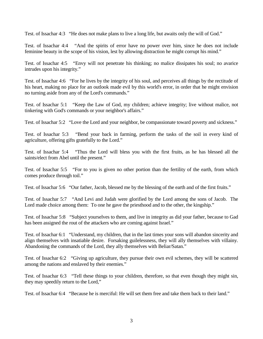Test. of Issachar 4:3 "He does not make plans to live a long life, but awaits only the will of God."

Test. of Issachar 4:4 "And the spirits of error have no power over him, since he does not include feminine beauty in the scope of his vision, lest by allowing distraction he might corrupt his mind."

Test. of Issachar 4:5 "Envy will not penetrate his thinking; no malice dissipates his soul; no avarice intrudes upon his integrity."

Test. of Issachar 4:6 "For he lives by the integrity of his soul, and perceives all things by the rectitude of his heart, making no place for an outlook made evil by this world's error, in order that he might envision no turning aside from any of the Lord's commands."

Test. of Issachar 5:1 "Keep the Law of God, my children; achieve integrity; live without malice, not tinkering with God's commands or your neighbor's affairs."

Test. of Issachar 5:2 "Love the Lord and your neighbor, be compassionate toward poverty and sickness."

Test. of Issachar 5:3 "Bend your back in farming, perform the tasks of the soil in every kind of agriculture, offering gifts gratefully to the Lord."

Test. of Issachar 5:4 "Thus the Lord will bless you with the first fruits, as he has blessed all the saints/elect from Abel until the present."

Test. of Issachar 5:5 "For to you is given no other portion than the fertility of the earth, from which comes produce through toil."

Test. of Issachar 5:6 "Our father, Jacob, blessed me by the blessing of the earth and of the first fruits."

Test. of Issachar 5:7 "And Levi and Judah were glorified by the Lord among the sons of Jacob. The Lord made choice among them: To one he gave the priesthood and to the other, the kingship."

Test. of Issachar 5:8 "Subject yourselves to them, and live in integrity as did your father, because to Gad has been assigned the rout of the attackers who are coming against Israel."

Test. of Issachar 6:1 "Understand, my children, that in the last times your sons will abandon sincerity and align themselves with insatiable desire. Forsaking guilelessness, they will ally themselves with villainy. Abandoning the commands of the Lord, they ally themselves with Beliar/Satan."

Test. of Issachar 6:2 "Giving up agriculture, they pursue their own evil schemes, they will be scattered among the nations and enslaved by their enemies."

Test. of Issachar 6:3 "Tell these things to your children, therefore, so that even though they might sin, they may speedily return to the Lord,"

Test. of Issachar 6:4 "Because he is merciful: He will set them free and take them back to their land."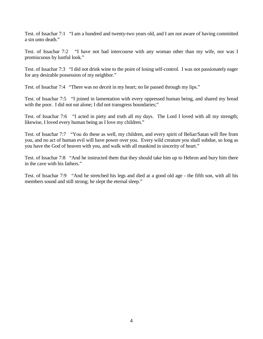Test. of Issachar 7:1 "I am a hundred and twenty-two years old, and I am not aware of having committed a sin unto death."

Test. of Issachar 7:2 "I have not had intercourse with any woman other than my wife, nor was I promiscuous by lustful look."

Test. of Issachar 7:3 "I did not drink wine to the point of losing self-control. I was not passionately eager for any desirable possession of my neighbor."

Test. of Issachar 7:4 "There was no deceit in my heart; no lie passed through my lips."

Test. of Issachar 7:5 "I joined in lamentation with every oppressed human being, and shared my bread with the poor. I did not eat alone; I did not transgress boundaries;"

Test. of Issachar 7:6 "I acted in piety and truth all my days. The Lord I loved with all my strength; likewise, I loved every human being as I love my children."

Test. of Issachar 7:7 "You do these as well, my children, and every spirit of Beliar/Satan will flee from you, and no act of human evil will have power over you. Every wild creature you shall subdue, so long as you have the God of heaven with you, and walk with all mankind in sincerity of heart."

Test. of Issachar 7:8 "And he instructed them that they should take him up to Hebron and bury him there in the cave with his fathers."

Test. of Issachar 7:9 "And he stretched his legs and died at a good old age - the fifth son, with all his members sound and still strong; he slept the eternal sleep."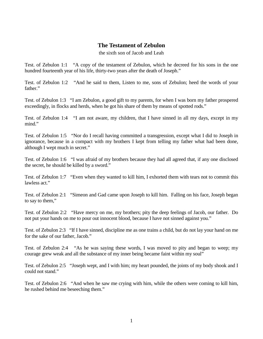### **The Testament of Zebulon**

the sixth son of Jacob and Leah

Test. of Zebulon 1:1 "A copy of the testament of Zebulon, which he decreed for his sons in the one hundred fourteenth year of his life, thirty-two years after the death of Joseph."

Test. of Zebulon 1:2 "And he said to them, Listen to me, sons of Zebulon; heed the words of your father."

Test. of Zebulon 1:3 "I am Zebulon, a good gift to my parents, for when I was born my father prospered exceedingly, in flocks and herds, when he got his share of them by means of spotted rods."

Test. of Zebulon 1:4 "I am not aware, my children, that I have sinned in all my days, except in my mind."

Test. of Zebulon 1:5 "Nor do I recall having committed a transgression, except what I did to Joseph in ignorance, because in a compact with my brothers I kept from telling my father what had been done, although I wept much in secret."

Test. of Zebulon 1:6 "I was afraid of my brothers because they had all agreed that, if any one disclosed the secret, he should be killed by a sword."

Test. of Zebulon 1:7 "Even when they wanted to kill him, I exhorted them with tears not to commit this lawless act."

Test. of Zebulon 2:1 "Simeon and Gad came upon Joseph to kill him. Falling on his face, Joseph began to say to them,"

Test. of Zebulon 2:2 "Have mercy on me, my brothers; pity the deep feelings of Jacob, our father. Do not put your hands on me to pour out innocent blood, because I have not sinned against you."

Test. of Zebulon 2:3 "If I have sinned, discipline me as one trains a child, but do not lay your hand on me for the sake of our father, Jacob."

Test. of Zebulon 2:4 "As he was saying these words, I was moved to pity and began to weep; my courage grew weak and all the substance of my inner being became faint within my soul"

Test. of Zebulon 2:5 "Joseph wept, and I with him; my heart pounded, the joints of my body shook and I could not stand."

Test. of Zebulon 2:6 "And when he saw me crying with him, while the others were coming to kill him, he rushed behind me beseeching them."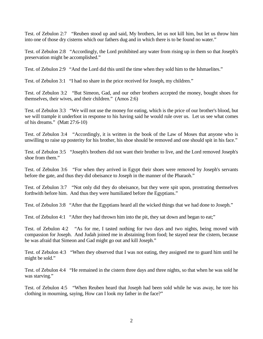Test. of Zebulon 2:7 "Reuben stood up and said, My brothers, let us not kill him, but let us throw him into one of those dry cisterns which our fathers dug and in which there is to be found no water."

Test. of Zebulon 2:8 "Accordingly, the Lord prohibited any water from rising up in them so that Joseph's preservation might be accomplished."

Test. of Zebulon 2:9 "And the Lord did this until the time when they sold him to the Ishmaelites."

Test. of Zebulon 3:1 "I had no share in the price received for Joseph, my children."

Test. of Zebulon 3:2 "But Simeon, Gad, and our other brothers accepted the money, bought shoes for themselves, their wives, and their children." (Amos 2:6)

Test. of Zebulon 3:3 "We will not use the money for eating, which is the price of our brother's blood, but we will trample it underfoot in response to his having said he would rule over us. Let us see what comes of his dreams." (Matt 27:6-10)

Test. of Zebulon 3:4 "Accordingly, it is written in the book of the Law of Moses that anyone who is unwilling to raise up posterity for his brother, his shoe should be removed and one should spit in his face."

Test. of Zebulon 3:5 "Joseph's brothers did not want their brother to live, and the Lord removed Joseph's shoe from them."

Test. of Zebulon 3:6 "For when they arrived in Egypt their shoes were removed by Joseph's servants before the gate, and thus they did obeisance to Joseph in the manner of the Pharaoh."

Test. of Zebulon 3:7 "Not only did they do obeisance, but they were spit upon, prostrating themselves forthwith before him. And thus they were humiliated before the Egyptians."

Test. of Zebulon 3:8 "After that the Egyptians heard all the wicked things that we had done to Joseph."

Test. of Zebulon 4:1 "After they had thrown him into the pit, they sat down and began to eat;"

Test. of Zebulon 4:2 "As for me, I tasted nothing for two days and two nights, being moved with compassion for Joseph. And Judah joined me in abstaining from food; he stayed near the cistern, because he was afraid that Simeon and Gad might go out and kill Joseph."

Test. of Zebulon 4:3 "When they observed that I was not eating, they assigned me to guard him until he might be sold."

Test. of Zebulon 4:4 "He remained in the cistern three days and three nights, so that when he was sold he was starving."

Test. of Zebulon 4:5 "When Reuben heard that Joseph had been sold while he was away, he tore his clothing in mourning, saying, How can I look my father in the face?"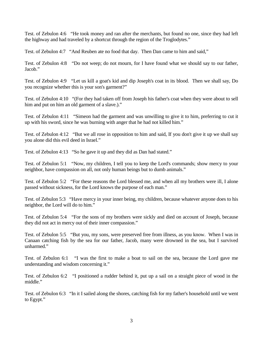Test. of Zebulon 4:6 "He took money and ran after the merchants, but found no one, since they had left the highway and had traveled by a shortcut through the region of the Troglodytes."

Test. of Zebulon 4:7 "And Reuben ate no food that day. Then Dan came to him and said,"

Test. of Zebulon 4:8 "Do not weep; do not mourn, for I have found what we should say to our father, Jacob."

Test. of Zebulon 4:9 "Let us kill a goat's kid and dip Joseph's coat in its blood. Then we shall say, Do you recognize whether this is your son's garment?"

Test. of Zebulon 4:10 "(For they had taken off from Joseph his father's coat when they were about to sell him and put on him an old garment of a slave.)."

Test. of Zebulon 4:11 "Simeon had the garment and was unwilling to give it to him, preferring to cut it up with his sword, since he was burning with anger that he had not killed him."

Test. of Zebulon 4:12 "But we all rose in opposition to him and said, If you don't give it up we shall say you alone did this evil deed in Israel."

Test. of Zebulon 4:13 "So he gave it up and they did as Dan had stated."

Test. of Zebulon 5:1 "Now, my children, I tell you to keep the Lord's commands; show mercy to your neighbor, have compassion on all, not only human beings but to dumb animals."

Test. of Zebulon 5:2 "For these reasons the Lord blessed me, and when all my brothers were ill, I alone passed without sickness, for the Lord knows the purpose of each man."

Test. of Zebulon 5:3 "Have mercy in your inner being, my children, because whatever anyone does to his neighbor, the Lord will do to him."

Test. of Zebulon 5:4 "For the sons of my brothers were sickly and died on account of Joseph, because they did not act in mercy out of their inner compassion."

Test. of Zebulon 5:5 "But you, my sons, were preserved free from illness, as you know. When I was in Canaan catching fish by the sea for our father, Jacob, many were drowned in the sea, but I survived unharmed."

Test. of Zebulon 6:1 "I was the first to make a boat to sail on the sea, because the Lord gave me understanding and wisdom concerning it."

Test. of Zebulon 6:2 "I positioned a rudder behind it, put up a sail on a straight piece of wood in the middle."

Test. of Zebulon 6:3 "In it I sailed along the shores, catching fish for my father's household until we went to Egypt."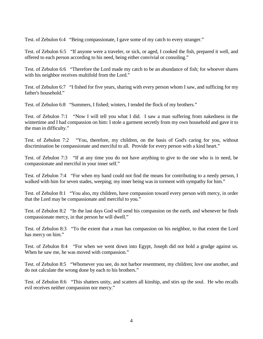Test. of Zebulon 6:4 "Being compassionate, I gave some of my catch to every stranger."

Test. of Zebulon 6:5 "If anyone were a traveler, or sick, or aged, I cooked the fish, prepared it well, and offered to each person according to his need, being either convivial or consoling."

Test. of Zebulon 6:6 "Therefore the Lord made my catch to be an abundance of fish; for whoever shares with his neighbor receives multifold from the Lord."

Test. of Zebulon 6:7 "I fished for five years, sharing with every person whom I saw, and sufficing for my father's household."

Test. of Zebulon 6:8 "Summers, I fished; winters, I tended the flock of my brothers."

Test. of Zebulon 7:1 "Now I will tell you what I did. I saw a man suffering from nakedness in the wintertime and I had compassion on him: I stole a garment secretly from my own household and gave it to the man in difficulty."

Test. of Zebulon 7:2 "You, therefore, my children, on the basis of God's caring for you, without discrimination be compassionate and merciful to all. Provide for every person with a kind heart."

Test. of Zebulon 7:3 "If at any time you do not have anything to give to the one who is in need, be compassionate and merciful in your inner self."

Test. of Zebulon 7:4 "For when my hand could not find the means for contributing to a needy person, I walked with him for seven stades, weeping; my inner being was in torment with sympathy for him."

Test. of Zebulon 8:1 "You also, my children, have compassion toward every person with mercy, in order that the Lord may be compassionate and merciful to you."

Test. of Zebulon 8:2 "In the last days God will send his compassion on the earth, and whenever he finds compassionate mercy, in that person he will dwell."

Test. of Zebulon 8:3 "To the extent that a man has compassion on his neighbor, to that extent the Lord has mercy on him."

Test. of Zebulon 8:4 "For when we went down into Egypt, Joseph did not hold a grudge against us. When he saw me, he was moved with compassion."

Test. of Zebulon 8:5 "Whomever you see, do not harbor resentment, my children; love one another, and do not calculate the wrong done by each to his brothers."

Test. of Zebulon 8:6 "This shatters unity, and scatters all kinship, and stirs up the soul. He who recalls evil receives neither compassion nor mercy."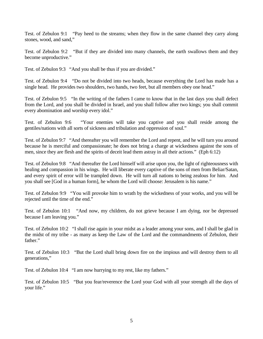Test. of Zebulon 9:1 "Pay heed to the streams; when they flow in the same channel they carry along stones, wood, and sand,"

Test. of Zebulon 9:2 "But if they are divided into many channels, the earth swallows them and they become unproductive."

Test. of Zebulon 9:3 "And you shall be thus if you are divided."

Test. of Zebulon 9:4 "Do not be divided into two heads, because everything the Lord has made has a single head. He provides two shoulders, two hands, two feet, but all members obey one head."

Test. of Zebulon 9:5 "In the writing of the fathers I came to know that in the last days you shall defect from the Lord, and you shall be divided in Israel, and you shall follow after two kings; you shall commit every abomination and worship every idol."

Test. of Zebulon 9:6 "Your enemies will take you captive and you shall reside among the gentiles/nations with all sorts of sickness and tribulation and oppression of soul."

Test. of Zebulon 9:7 "And thereafter you will remember the Lord and repent, and he will turn you around because he is merciful and compassionate; he does not bring a charge at wickedness against the sons of men, since they are flesh and the spirits of deceit lead them astray in all their actions." (Eph 6:12)

Test. of Zebulon 9:8 "And thereafter the Lord himself will arise upon you, the light of righteousness with healing and compassion in his wings. He will liberate every captive of the sons of men from Beliar/Satan, and every spirit of error will be trampled down. He will turn all nations to being zealous for him. And you shall see [God in a human form], he whom the Lord will choose: Jerusalem is his name."

Test. of Zebulon 9:9 "You will provoke him to wrath by the wickedness of your works, and you will be rejected until the time of the end."

Test. of Zebulon 10:1 "And now, my children, do not grieve because I am dying, nor be depressed because I am leaving you."

Test. of Zebulon 10:2 "I shall rise again in your midst as a leader among your sons, and I shall be glad in the midst of my tribe - as many as keep the Law of the Lord and the commandments of Zebulon, their father."

Test. of Zebulon 10:3 "But the Lord shall bring down fire on the impious and will destroy them to all generations,"

Test. of Zebulon 10:4 "I am now hurrying to my rest, like my fathers."

Test. of Zebulon 10:5 "But you fear/reverence the Lord your God with all your strength all the days of your life."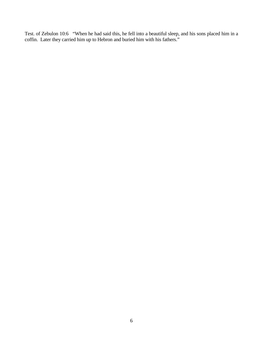Test. of Zebulon 10:6 "When he had said this, he fell into a beautiful sleep, and his sons placed him in a coffin. Later they carried him up to Hebron and buried him with his fathers."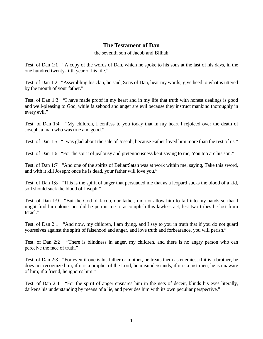### **The Testament of Dan**

the seventh son of Jacob and Bilhah

Test. of Dan 1:1 "A copy of the words of Dan, which he spoke to his sons at the last of his days, in the one hundred twenty-fifth year of his life."

Test. of Dan 1:2 "Assembling his clan, he said, Sons of Dan, hear my words; give heed to what is uttered by the mouth of your father."

Test. of Dan 1:3 "I have made proof in my heart and in my life that truth with honest dealings is good and well-pleasing to God, while falsehood and anger are evil because they instruct mankind thoroughly in every evil."

Test. of Dan 1:4 "My children, I confess to you today that in my heart I rejoiced over the death of Joseph, a man who was true and good."

Test. of Dan 1:5 "I was glad about the sale of Joseph, because Father loved him more than the rest of us."

Test. of Dan 1:6 "For the spirit of jealousy and pretentiousness kept saying to me, You too are his son."

Test. of Dan 1:7 "And one of the spirits of Beliar/Satan was at work within me, saying, Take this sword, and with it kill Joseph; once he is dead, your father will love you."

Test. of Dan 1:8 "This is the spirit of anger that persuaded me that as a leopard sucks the blood of a kid, so I should suck the blood of Joseph."

Test. of Dan 1:9 "But the God of Jacob, our father, did not allow him to fall into my hands so that I might find him alone, nor did he permit me to accomplish this lawless act, lest two tribes be lost from Israel."

Test. of Dan 2:1 "And now, my children, I am dying, and I say to you in truth that if you do not guard yourselves against the spirit of falsehood and anger, and love truth and forbearance, you will perish."

Test. of Dan 2:2 "There is blindness in anger, my children, and there is no angry person who can perceive the face of truth."

Test. of Dan 2:3 "For even if one is his father or mother, he treats them as enemies; if it is a brother, he does not recognize him; if it is a prophet of the Lord, he misunderstands; if it is a just men, he is unaware of him; if a friend, he ignores him."

Test. of Dan 2:4 "For the spirit of anger ensnares him in the nets of deceit, blinds his eyes literally, darkens his understanding by means of a lie, and provides him with its own peculiar perspective."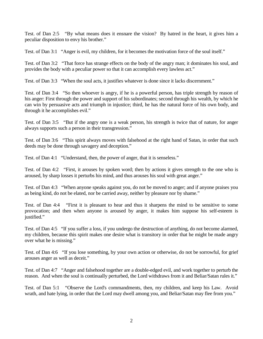Test. of Dan 2:5 "By what means does it ensnare the vision? By hatred in the heart, it gives him a peculiar disposition to envy his brother."

Test. of Dan 3:1 "Anger is evil, my children, for it becomes the motivation force of the soul itself."

Test. of Dan 3:2 "That force has strange effects on the body of the angry man; it dominates his soul, and provides the body with a peculiar power so that it can accomplish every lawless act."

Test. of Dan 3:3 "When the soul acts, it justifies whatever is done since it lacks discernment."

Test. of Dan 3:4 "So then whoever is angry, if he is a powerful person, has triple strength by reason of his anger: First through the power and support of his subordinates; second through his wealth, by which he can win by persuasive acts and triumph in injustice; third, he has the natural force of his own body, and through it he accomplishes evil."

Test. of Dan 3:5 "But if the angry one is a weak person, his strength is twice that of nature, for anger always supports such a person in their transgression."

Test. of Dan 3:6 "This spirit always moves with falsehood at the right hand of Satan, in order that such deeds may be done through savagery and deception."

Test. of Dan 4:1 "Understand, then, the power of anger, that it is senseless."

Test. of Dan 4:2 "First, it arouses by spoken word; then by actions it gives strength to the one who is aroused, by sharp losses it perturbs his mind, and thus arouses his soul with great anger."

Test. of Dan 4:3 "When anyone speaks against you, do not be moved to anger; and if anyone praises you as being kind, do not be elated, nor be carried away, neither by pleasure nor by shame."

Test. of Dan 4:4 "First it is pleasant to hear and thus it sharpens the mind to be sensitive to some provocation; and then when anyone is aroused by anger, it makes him suppose his self-esteem is justified."

Test. of Dan 4:5 "If you suffer a loss, if you undergo the destruction of anything, do not become alarmed, my children, because this spirit makes one desire what is transitory in order that he might be made angry over what he is missing."

Test. of Dan 4:6 "If you lose something, by your own action or otherwise, do not be sorrowful, for grief arouses anger as well as deceit."

Test. of Dan 4:7 "Anger and falsehood together are a double-edged evil, and work together to perturb the reason. And when the soul is continually perturbed, the Lord withdraws from it and Beliar/Satan rules it."

Test. of Dan 5:1 "Observe the Lord's commandments, then, my children, and keep his Law. Avoid wrath, and hate lying, in order that the Lord may dwell among you, and Beliar/Satan may flee from you."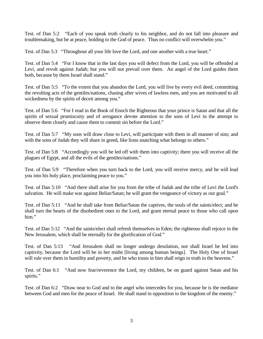Test. of Dan 5:2 "Each of you speak truth clearly to his neighbor, and do not fall into pleasure and troublemaking, but be at peace, holding to the God of peace. Thus no conflict will overwhelm you."

Test. of Dan 5:3 "Throughout all your life love the Lord, and one another with a true heart."

Test. of Dan 5:4 "For I know that in the last days you will defect from the Lord, you will be offended at Levi, and revolt against Judah; but you will not prevail over them. An angel of the Lord guides them both, because by them Israel shall stand."

Test. of Dan 5:5 "To the extent that you abandon the Lord, you will live by every evil deed, committing the revolting acts of the gentiles/nations, chasing after wives of lawless men, and you are motivated to all wickedness by the spirits of deceit among you."

Test. of Dan 5:6 "For I read in the Book of Enoch the Righteous that your prince is Satan and that all the spirits of sexual promiscuity and of arrogance devote attention to the sons of Levi in the attempt to observe them closely and cause them to commit sin before the Lord."

Test. of Dan 5:7 "My sons will draw close to Levi, will participate with them in all manner of sins; and with the sons of Judah they will share in greed, like lions snatching what belongs to others."

Test. of Dan 5:8 "Accordingly you will be led off with them into captivity; there you will receive all the plagues of Egypt, and all the evils of the gentiles/nations."

Test. of Dan 5:9 "Therefore when you turn back to the Lord, you will receive mercy, and he will lead you into his holy place, proclaiming peace to you."

Test. of Dan 5:10 "And there shall arise for you from the tribe of Judah and the tribe of Levi the Lord's salvation. He will make war against Beliar/Satan; he will grant the vengeance of victory as our goal."

Test. of Dan 5:11 "And he shall take from Beliar/Satan the captives, the souls of the saints/elect; and he shall turn the hearts of the disobedient ones to the Lord, and grant eternal peace to those who call upon him."

Test. of Dan 5:12 "And the saints/elect shall refresh themselves in Eden; the righteous shall rejoice in the New Jerusalem, which shall be eternally for the glorification of God."

Test. of Dan 5:13 "And Jerusalem shall no longer undergo desolation, nor shall Israel be led into captivity, because the Lord will be in her midst [living among human beings]. The Holy One of Israel will rule over them in humility and poverty, and he who trusts in him shall reign in truth in the heavens."

Test. of Dan 6:1 "And now fear/reverence the Lord, my children, be on guard against Satan and his spirits."

Test. of Dan 6:2 "Draw near to God and to the angel who intercedes for you, because he is the mediator between God and men for the peace of Israel. He shall stand in opposition to the kingdom of the enemy."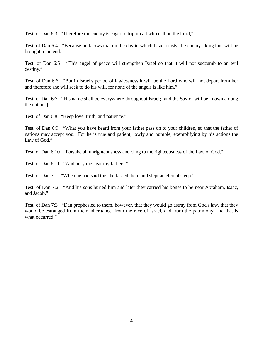Test. of Dan 6:3 "Therefore the enemy is eager to trip up all who call on the Lord,"

Test. of Dan 6:4 "Because he knows that on the day in which Israel trusts, the enemy's kingdom will be brought to an end."

Test. of Dan 6:5 "This angel of peace will strengthen Israel so that it will not succumb to an evil destiny."

Test. of Dan 6:6 "But in Israel's period of lawlessness it will be the Lord who will not depart from her and therefore she will seek to do his will, for none of the angels is like him."

Test. of Dan 6:7 "His name shall be everywhere throughout Israel; [and the Savior will be known among the nations]."

Test. of Dan 6:8 "Keep love, truth, and patience."

Test. of Dan 6:9 "What you have heard from your father pass on to your children, so that the father of nations may accept you. For he is true and patient, lowly and humble, exemplifying by his actions the Law of God."

Test. of Dan 6:10 "Forsake all unrighteousness and cling to the righteousness of the Law of God."

Test. of Dan 6:11 "And bury me near my fathers."

Test. of Dan 7:1 "When he had said this, he kissed them and slept an eternal sleep."

Test. of Dan 7:2 "And his sons buried him and later they carried his bones to be near Abraham, Isaac, and Jacob."

Test. of Dan 7:3 "Dan prophesied to them, however, that they would go astray from God's law, that they would be estranged from their inheritance, from the race of Israel, and from the patrimony; and that is what occurred."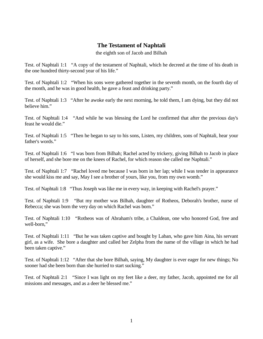# **The Testament of Naphtali**

the eighth son of Jacob and Bilhah

Test. of Naphtali 1:1 "A copy of the testament of Naphtali, which he decreed at the time of his death in the one hundred thirty-second year of his life."

Test. of Naphtali 1:2 "When his sons were gathered together in the seventh month, on the fourth day of the month, and he was in good health, he gave a feast and drinking party."

Test. of Naphtali 1:3 "After he awoke early the next morning, he told them, I am dying, but they did not believe him."

Test. of Naphtali 1:4 "And while he was blessing the Lord he confirmed that after the previous day's feast he would die."

Test. of Naphtali 1:5 "Then he began to say to his sons, Listen, my children, sons of Naphtali, hear your father's words."

Test. of Naphtali 1:6 "I was born from Bilhah; Rachel acted by trickery, giving Bilhah to Jacob in place of herself, and she bore me on the knees of Rachel, for which reason she called me Naphtali."

Test. of Naphtali 1:7 "Rachel loved me because I was born in her lap; while I was tender in appearance she would kiss me and say, May I see a brother of yours, like you, from my own womb."

Test. of Naphtali 1:8 "Thus Joseph was like me in every way, in keeping with Rachel's prayer."

Test. of Naphtali 1:9 "But my mother was Bilhah, daughter of Rotheos, Deborah's brother, nurse of Rebecca; she was born the very day on which Rachel was born."

Test. of Naphtali 1:10 "Rotheos was of Abraham's tribe, a Chaldean, one who honored God, free and well-born,"

Test. of Naphtali 1:11 "But he was taken captive and bought by Laban, who gave him Aina, his servant girl, as a wife. She bore a daughter and called her Zelpha from the name of the village in which he had been taken captive."

Test. of Naphtali 1:12 "After that she bore Bilhah, saying, My daughter is ever eager for new things; No sooner had she been born than she hurried to start sucking."

Test. of Naphtali 2:1 "Since I was light on my feet like a deer, my father, Jacob, appointed me for all missions and messages, and as a deer he blessed me."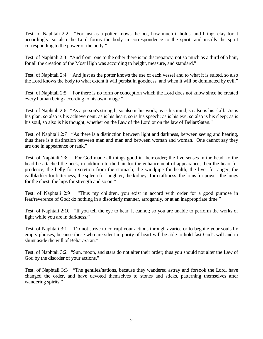Test. of Naphtali 2:2 "For just as a potter knows the pot, how much it holds, and brings clay for it accordingly, so also the Lord forms the body in correspondence to the spirit, and instills the spirit corresponding to the power of the body."

Test. of Naphtali 2:3 "And from one to the other there is no discrepancy, not so much as a third of a hair, for all the creation of the Most High was according to height, measure, and standard."

Test. of Naphtali 2:4 "And just as the potter knows the use of each vessel and to what it is suited, so also the Lord knows the body to what extent it will persist in goodness, and when it will be dominated by evil."

Test. of Naphtali 2:5 "For there is no form or conception which the Lord does not know since he created every human being according to his own image."

Test. of Naphtali 2:6 "As a person's strength, so also is his work; as is his mind, so also is his skill. As is his plan, so also is his achievement; as is his heart, so is his speech; as is his eye, so also is his sleep; as is his soul, so also is his thought, whether on the Law of the Lord or on the law of Beliar/Satan."

Test. of Naphtali 2:7 "As there is a distinction between light and darkness, between seeing and hearing, thus there is a distinction between man and man and between woman and woman. One cannot say they are one in appearance or rank,"

Test. of Naphtali 2:8 "For God made all things good in their order; the five senses in the head; to the head he attached the neck, in addition to the hair for the enhancement of appearance; then the heart for prudence; the belly for excretion from the stomach; the windpipe for health; the liver for anger; the gallbladder for bitterness; the spleen for laughter; the kidneys for craftiness; the loins for power; the lungs for the chest; the hips for strength and so on."

Test. of Naphtali 2:9 "Thus my children, you exist in accord with order for a good purpose in fear/reverence of God; do nothing in a disorderly manner, arrogantly, or at an inappropriate time."

Test. of Naphtali 2:10 "If you tell the eye to hear, it cannot; so you are unable to perform the works of light while you are in darkness."

Test. of Naphtali 3:1 "Do not strive to corrupt your actions through avarice or to beguile your souls by empty phrases, because those who are silent in purity of heart will be able to hold fast God's will and to shunt aside the will of Beliar/Satan."

Test. of Naphtali 3:2 "Sun, moon, and stars do not alter their order; thus you should not alter the Law of God by the disorder of your actions."

Test. of Naphtali 3:3 "The gentiles/nations, because they wandered astray and forsook the Lord, have changed the order, and have devoted themselves to stones and sticks, patterning themselves after wandering spirits."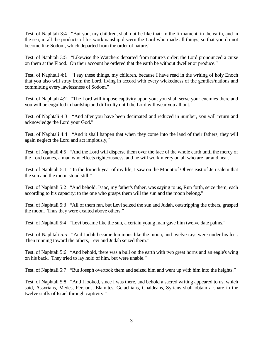Test. of Naphtali 3:4 "But you, my children, shall not be like that: In the firmament, in the earth, and in the sea, in all the products of his workmanship discern the Lord who made all things, so that you do not become like Sodom, which departed from the order of nature."

Test. of Naphtali 3:5 "Likewise the Watchers departed from nature's order; the Lord pronounced a curse on them at the Flood. On their account he ordered that the earth be without dweller or produce."

Test. of Naphtali 4:1 "I say these things, my children, because I have read in the writing of holy Enoch that you also will stray from the Lord, living in accord with every wickedness of the gentiles/nations and committing every lawlessness of Sodom."

Test. of Naphtali 4:2 "The Lord will impose captivity upon you; you shall serve your enemies there and you will be engulfed in hardship and difficulty until the Lord will wear you all out."

Test. of Naphtali 4:3 "And after you have been decimated and reduced in number, you will return and acknowledge the Lord your God."

Test. of Naphtali 4:4 "And it shall happen that when they come into the land of their fathers, they will again neglect the Lord and act impiously,"

Test. of Naphtali 4:5 "And the Lord will disperse them over the face of the whole earth until the mercy of the Lord comes, a man who effects righteousness, and he will work mercy on all who are far and near."

Test. of Naphtali 5:1 "In the fortieth year of my life, I saw on the Mount of Olives east of Jerusalem that the sun and the moon stood still."

Test. of Naphtali 5:2 "And behold, Isaac, my father's father, was saying to us, Run forth, seize them, each according to his capacity; to the one who grasps them will the sun and the moon belong."

Test. of Naphtali 5:3 "All of them ran, but Levi seized the sun and Judah, outstripping the others, grasped the moon. Thus they were exalted above others."

Test. of Naphtali 5:4 "Levi became like the sun, a certain young man gave him twelve date palms."

Test. of Naphtali 5:5 "And Judah became luminous like the moon, and twelve rays were under his feet. Then running toward the others, Levi and Judah seized them."

Test. of Naphtali 5:6 "And behold, there was a bull on the earth with two great horns and an eagle's wing on his back. They tried to lay hold of him, but were unable."

Test. of Naphtali 5:7 "But Joseph overtook them and seized him and went up with him into the heights."

Test. of Naphtali 5:8 "And I looked, since I was there, and behold a sacred writing appeared to us, which said, Assyrians, Medes, Persians, Elamites, Gelachians, Chaldeans, Syrians shall obtain a share in the twelve staffs of Israel through captivity."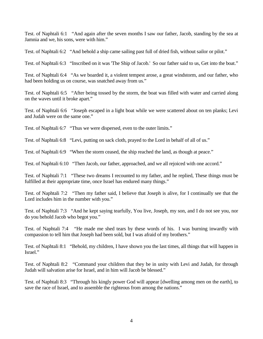Test. of Naphtali 6:1 "And again after the seven months I saw our father, Jacob, standing by the sea at Jamnia and we, his sons, were with him."

Test. of Naphtali 6:2 "And behold a ship came sailing past full of dried fish, without sailor or pilot."

Test. of Naphtali 6:3 "Inscribed on it was 'The Ship of Jacob.' So our father said to us, Get into the boat."

Test. of Naphtali 6:4 "As we boarded it, a violent tempest arose, a great windstorm, and our father, who had been holding us on course, was snatched away from us."

Test. of Naphtali 6:5 "After being tossed by the storm, the boat was filled with water and carried along on the waves until it broke apart."

Test. of Naphtali 6:6 "Joseph escaped in a light boat while we were scattered about on ten planks; Levi and Judah were on the same one."

Test. of Naphtali 6:7 "Thus we were dispersed, even to the outer limits."

Test. of Naphtali 6:8 "Levi, putting on sack cloth, prayed to the Lord in behalf of all of us."

Test. of Naphtali 6:9 "When the storm ceased, the ship reached the land, as though at peace."

Test. of Naphtali 6:10 "Then Jacob, our father, approached, and we all rejoiced with one accord."

Test. of Naphtali 7:1 "These two dreams I recounted to my father, and he replied, These things must be fulfilled at their appropriate time, once Israel has endured many things."

Test. of Naphtali 7:2 "Then my father said, I believe that Joseph is alive, for I continually see that the Lord includes him in the number with you."

Test. of Naphtali 7:3 "And he kept saying tearfully, You live, Joseph, my son, and I do not see you, nor do you behold Jacob who begot you."

Test. of Naphtali 7:4 "He made me shed tears by these words of his. I was burning inwardly with compassion to tell him that Joseph had been sold, but I was afraid of my brothers."

Test. of Naphtali 8:1 "Behold, my children, I have shown you the last times, all things that will happen in Israel."

Test. of Naphtali 8:2 "Command your children that they be in unity with Levi and Judah, for through Judah will salvation arise for Israel, and in him will Jacob be blessed."

Test. of Naphtali 8:3 "Through his kingly power God will appear [dwelling among men on the earth], to save the race of Israel, and to assemble the righteous from among the nations."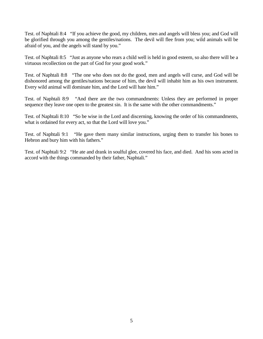Test. of Naphtali 8:4 "If you achieve the good, my children, men and angels will bless you; and God will be glorified through you among the gentiles/nations. The devil will flee from you; wild animals will be afraid of you, and the angels will stand by you."

Test. of Naphtali 8:5 "Just as anyone who rears a child well is held in good esteem, so also there will be a virtuous recollection on the part of God for your good work."

Test. of Naphtali 8:8 "The one who does not do the good, men and angels will curse, and God will be dishonored among the gentiles/nations because of him, the devil will inhabit him as his own instrument. Every wild animal will dominate him, and the Lord will hate him."

Test. of Naphtali 8:9 "And there are the two commandments: Unless they are performed in proper sequence they leave one open to the greatest sin. It is the same with the other commandments."

Test. of Naphtali 8:10 "So be wise in the Lord and discerning, knowing the order of his commandments, what is ordained for every act, so that the Lord will love you."

Test. of Naphtali 9:1 "He gave them many similar instructions, urging them to transfer his bones to Hebron and bury him with his fathers."

Test. of Naphtali 9:2 "He ate and drank in soulful glee, covered his face, and died. And his sons acted in accord with the things commanded by their father, Naphtali."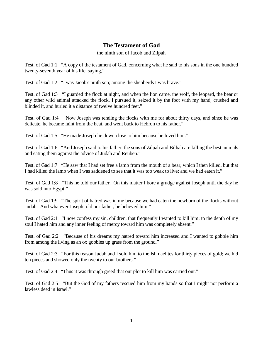# **The Testament of Gad**

#### the ninth son of Jacob and Zilpah

Test. of Gad 1:1 "A copy of the testament of Gad, concerning what he said to his sons in the one hundred twenty-seventh year of his life, saying,"

Test. of Gad 1:2 "I was Jacob's ninth son; among the shepherds I was brave."

Test. of Gad 1:3 "I guarded the flock at night, and when the lion came, the wolf, the leopard, the bear or any other wild animal attacked the flock, I pursued it, seized it by the foot with my hand, crushed and blinded it, and hurled it a distance of twelve hundred feet."

Test. of Gad 1:4 "Now Joseph was tending the flocks with me for about thirty days, and since he was delicate, he became faint from the heat, and went back to Hebron to his father."

Test. of Gad 1:5 "He made Joseph lie down close to him because he loved him."

Test. of Gad 1:6 "And Joseph said to his father, the sons of Zilpah and Bilhah are killing the best animals and eating them against the advice of Judah and Reuben."

Test. of Gad 1:7 "He saw that I had set free a lamb from the mouth of a bear, which I then killed, but that I had killed the lamb when I was saddened to see that it was too weak to live; and we had eaten it."

Test. of Gad 1:8 "This he told our father. On this matter I bore a grudge against Joseph until the day he was sold into Egypt;"

Test. of Gad 1:9 "The spirit of hatred was in me because we had eaten the newborn of the flocks without Judah. And whatever Joseph told our father, he believed him."

Test. of Gad 2:1 "I now confess my sin, children, that frequently I wanted to kill him; to the depth of my soul I hated him and any inner feeling of mercy toward him was completely absent."

Test. of Gad 2:2 "Because of his dreams my hatred toward him increased and I wanted to gobble him from among the living as an ox gobbles up grass from the ground."

Test. of Gad 2:3 "For this reason Judah and I sold him to the Ishmaelites for thirty pieces of gold; we hid ten pieces and showed only the twenty to our brothers."

Test. of Gad 2:4 "Thus it was through greed that our plot to kill him was carried out."

Test. of Gad 2:5 "But the God of my fathers rescued him from my hands so that I might not perform a lawless deed in Israel."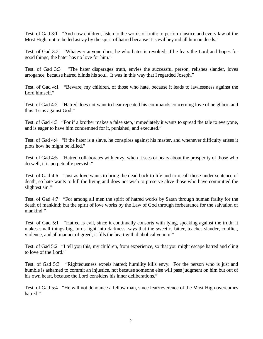Test. of Gad 3:1 "And now children, listen to the words of truth: to perform justice and every law of the Most High; not to be led astray by the spirit of hatred because it is evil beyond all human deeds."

Test. of Gad 3:2 "Whatever anyone does, he who hates is revolted; if he fears the Lord and hopes for good things, the hater has no love for him."

Test. of Gad 3:3 "The hater disparages truth, envies the successful person, relishes slander, loves arrogance, because hatred blinds his soul. It was in this way that I regarded Joseph."

Test. of Gad 4:1 "Beware, my children, of those who hate, because it leads to lawlessness against the Lord himself."

Test. of Gad 4:2 "Hatred does not want to hear repeated his commands concerning love of neighbor, and thus it sins against God."

Test. of Gad 4:3 "For if a brother makes a false step, immediately it wants to spread the tale to everyone, and is eager to have him condemned for it, punished, and executed."

Test. of Gad 4:4 "If the hater is a slave, he conspires against his master, and whenever difficulty arises it plots how he might be killed."

Test. of Gad 4:5 "Hatred collaborates with envy, when it sees or hears about the prosperity of those who do well, it is perpetually peevish."

Test. of Gad 4:6 "Just as love wants to bring the dead back to life and to recall those under sentence of death, so hate wants to kill the living and does not wish to preserve alive those who have committed the slightest sin."

Test. of Gad 4:7 "For among all men the spirit of hatred works by Satan through human frailty for the death of mankind; but the spirit of love works by the Law of God through forbearance for the salvation of mankind."

Test. of Gad 5:1 "Hatred is evil, since it continually consorts with lying, speaking against the truth; it makes small things big, turns light into darkness, says that the sweet is bitter, teaches slander, conflict, violence, and all manner of greed; it fills the heart with diabolical venom."

Test. of Gad 5:2 "I tell you this, my children, from experience, so that you might escape hatred and cling to love of the Lord."

Test. of Gad 5:3 "Righteousness expels hatred; humility kills envy. For the person who is just and humble is ashamed to commit an injustice, not because someone else will pass judgment on him but out of his own heart, because the Lord considers his inner deliberations."

Test. of Gad 5:4 "He will not denounce a fellow man, since fear/reverence of the Most High overcomes hatred."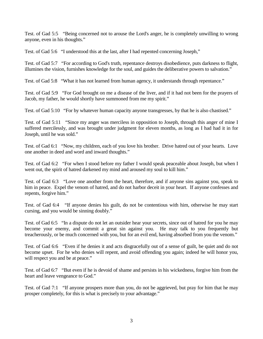Test. of Gad 5:5 "Being concerned not to arouse the Lord's anger, he is completely unwilling to wrong anyone, even in his thoughts."

Test. of Gad 5:6 "I understood this at the last, after I had repented concerning Joseph,"

Test. of Gad 5:7 "For according to God's truth, repentance destroys disobedience, puts darkness to flight, illumines the vision, furnishes knowledge for the soul, and guides the deliberative powers to salvation."

Test. of Gad 5:8 "What it has not learned from human agency, it understands through repentance."

Test. of Gad 5:9 "For God brought on me a disease of the liver, and if it had not been for the prayers of Jacob, my father, he would shortly have summoned from me my spirit."

Test. of Gad 5:10 "For by whatever human capacity anyone transgresses, by that he is also chastised."

Test. of Gad 5:11 "Since my anger was merciless in opposition to Joseph, through this anger of mine I suffered mercilessly, and was brought under judgment for eleven months, as long as I had had it in for Joseph, until he was sold."

Test. of Gad 6:1 "Now, my children, each of you love his brother. Drive hatred out of your hearts. Love one another in deed and word and inward thoughts."

Test. of Gad 6:2 "For when I stood before my father I would speak peaceable about Joseph, but when I went out, the spirit of hatred darkened my mind and aroused my soul to kill him."

Test. of Gad 6:3 "Love one another from the heart, therefore, and if anyone sins against you, speak to him in peace. Expel the venom of hatred, and do not harbor deceit in your heart. If anyone confesses and repents, forgive him."

Test. of Gad 6:4 "If anyone denies his guilt, do not be contentious with him, otherwise he may start cursing, and you would be sinning doubly."

Test. of Gad 6:5 "In a dispute do not let an outsider hear your secrets, since out of hatred for you he may become your enemy, and commit a great sin against you. He may talk to you frequently but treacherously, or be much concerned with you, but for an evil end, having absorbed from you the venom."

Test. of Gad 6:6 "Even if he denies it and acts disgracefully out of a sense of guilt, be quiet and do not become upset. For he who denies will repent, and avoid offending you again; indeed he will honor you, will respect you and be at peace."

Test. of Gad 6:7 "But even if he is devoid of shame and persists in his wickedness, forgive him from the heart and leave vengeance to God."

Test. of Gad 7:1 "If anyone prospers more than you, do not be aggrieved, but pray for him that he may prosper completely, for this is what is precisely to your advantage."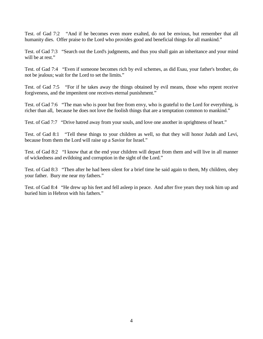Test. of Gad 7:2 "And if he becomes even more exalted, do not be envious, but remember that all humanity dies. Offer praise to the Lord who provides good and beneficial things for all mankind."

Test. of Gad 7:3 "Search out the Lord's judgments, and thus you shall gain an inheritance and your mind will be at rest."

Test. of Gad 7:4 "Even if someone becomes rich by evil schemes, as did Esau, your father's brother, do not be jealous; wait for the Lord to set the limits."

Test. of Gad 7:5 "For if he takes away the things obtained by evil means, those who repent receive forgiveness, and the impenitent one receives eternal punishment."

Test. of Gad 7:6 "The man who is poor but free from envy, who is grateful to the Lord for everything, is richer than all, because he does not love the foolish things that are a temptation common to mankind."

Test. of Gad 7:7 "Drive hatred away from your souls, and love one another in uprightness of heart."

Test. of Gad 8:1 "Tell these things to your children as well, so that they will honor Judah and Levi, because from them the Lord will raise up a Savior for Israel."

Test. of Gad 8:2 "I know that at the end your children will depart from them and will live in all manner of wickedness and evildoing and corruption in the sight of the Lord."

Test. of Gad 8:3 "Then after he had been silent for a brief time he said again to them, My children, obey your father. Bury me near my fathers."

Test. of Gad 8:4 "He drew up his feet and fell asleep in peace. And after five years they took him up and buried him in Hebron with his fathers."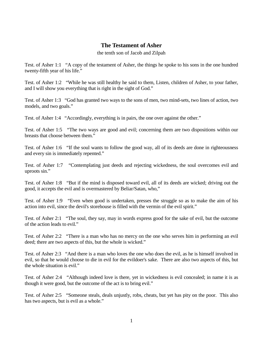### **The Testament of Asher**

the tenth son of Jacob and Zilpah

Test. of Asher 1:1 "A copy of the testament of Asher, the things he spoke to his sons in the one hundred twenty-fifth year of his life."

Test. of Asher 1:2 "While he was still healthy he said to them, Listen, children of Asher, to your father, and I will show you everything that is right in the sight of God."

Test. of Asher 1:3 "God has granted two ways to the sons of men, two mind-sets, two lines of action, two models, and two goals."

Test. of Asher 1:4 "Accordingly, everything is in pairs, the one over against the other."

Test. of Asher 1:5 "The two ways are good and evil; concerning them are two dispositions within our breasts that choose between them."

Test. of Asher 1:6 "If the soul wants to follow the good way, all of its deeds are done in righteousness and every sin is immediately repented."

Test. of Asher 1:7 "Contemplating just deeds and rejecting wickedness, the soul overcomes evil and uproots sin."

Test. of Asher 1:8 "But if the mind is disposed toward evil, all of its deeds are wicked; driving out the good, it accepts the evil and is overmastered by Beliar/Satan, who,"

Test. of Asher 1:9 "Even when good is undertaken, presses the struggle so as to make the aim of his action into evil, since the devil's storehouse is filled with the vermin of the evil spirit."

Test. of Asher 2:1 "The soul, they say, may in words express good for the sake of evil, but the outcome of the action leads to evil."

Test. of Asher 2:2 "There is a man who has no mercy on the one who serves him in performing an evil deed; there are two aspects of this, but the whole is wicked."

Test. of Asher 2:3 "And there is a man who loves the one who does the evil, as he is himself involved in evil, so that he would choose to die in evil for the evildoer's sake. There are also two aspects of this, but the whole situation is evil."

Test. of Asher 2:4 "Although indeed love is there, yet in wickedness is evil concealed; in name it is as though it were good, but the outcome of the act is to bring evil."

Test. of Asher 2:5 "Someone steals, deals unjustly, robs, cheats, but yet has pity on the poor. This also has two aspects, but is evil as a whole."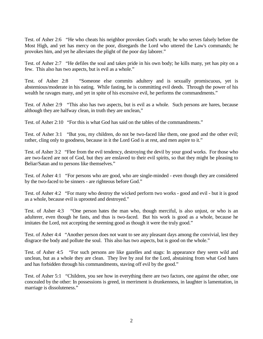Test. of Asher 2:6 "He who cheats his neighbor provokes God's wrath; he who serves falsely before the Most High, and yet has mercy on the poor, disregards the Lord who uttered the Law's commands; he provokes him, and yet he alleviates the plight of the poor day laborer."

Test. of Asher 2:7 "He defiles the soul and takes pride in his own body; he kills many, yet has pity on a few. This also has two aspects, but is evil as a whole."

Test. of Asher 2:8 "Someone else commits adultery and is sexually promiscuous, yet is abstemious/moderate in his eating. While fasting, he is committing evil deeds. Through the power of his wealth he ravages many, and yet in spite of his excessive evil, he performs the commandments."

Test. of Asher 2:9 "This also has two aspects, but is evil as a whole. Such persons are hares, because although they are halfway clean, in truth they are unclean,"

Test. of Asher 2:10 "For this is what God has said on the tables of the commandments."

Test. of Asher 3:1 "But you, my children, do not be two-faced like them, one good and the other evil; rather, cling only to goodness, because in it the Lord God is at rest, and men aspire to it."

Test. of Asher 3:2 "Flee from the evil tendency, destroying the devil by your good works. For those who are two-faced are not of God, but they are enslaved to their evil spirits, so that they might be pleasing to Beliar/Satan and to persons like themselves."

Test. of Asher 4:1 "For persons who are good, who are single-minded - even though they are considered by the two-faced to be sinners - are righteous before God."

Test. of Asher 4:2 "For many who destroy the wicked perform two works - good and evil - but it is good as a whole, because evil is uprooted and destroyed."

Test. of Asher 4:3 "One person hates the man who, though merciful, is also unjust, or who is an adulterer, even though he fasts, and thus is two-faced. But his work is good as a whole, because he imitates the Lord, not accepting the seeming good as though it were the truly good."

Test. of Asher 4:4 "Another person does not want to see any pleasant days among the convivial, lest they disgrace the body and pollute the soul. This also has two aspects, but is good on the whole."

Test. of Asher 4:5 "For such persons are like gazelles and stags: In appearance they seem wild and unclean, but as a whole they are clean. They live by zeal for the Lord, abstaining from what God hates and has forbidden through his commandments, staving off evil by the good."

Test. of Asher 5:1 "Children, you see how in everything there are two factors, one against the other, one concealed by the other: In possessions is greed, in merriment is drunkenness, in laughter is lamentation, in marriage is dissoluteness."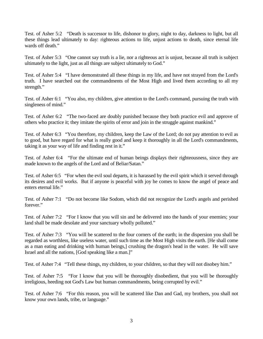Test. of Asher 5:2 "Death is successor to life, dishonor to glory, night to day, darkness to light, but all these things lead ultimately to day: righteous actions to life, unjust actions to death, since eternal life wards off death."

Test. of Asher 5:3 "One cannot say truth is a lie, nor a righteous act is unjust, because all truth is subject ultimately to the light, just as all things are subject ultimately to God."

Test. of Asher 5:4 "I have demonstrated all these things in my life, and have not strayed from the Lord's truth. I have searched out the commandments of the Most High and lived them according to all my strength."

Test. of Asher 6:1 "You also, my children, give attention to the Lord's command, pursuing the truth with singleness of mind."

Test. of Asher 6:2 "The two-faced are doubly punished because they both practice evil and approve of others who practice it; they imitate the spirits of error and join in the struggle against mankind."

Test. of Asher 6:3 "You therefore, my children, keep the Law of the Lord; do not pay attention to evil as to good, but have regard for what is really good and keep it thoroughly in all the Lord's commandments, taking it as your way of life and finding rest in it."

Test. of Asher 6:4 "For the ultimate end of human beings displays their righteousness, since they are made known to the angels of the Lord and of Beliar/Satan."

Test. of Asher 6:5 "For when the evil soul departs, it is harassed by the evil spirit which it served through its desires and evil works. But if anyone is peaceful with joy he comes to know the angel of peace and enters eternal life."

Test. of Asher 7:1 "Do not become like Sodom, which did not recognize the Lord's angels and perished forever."

Test. of Asher 7:2 "For I know that you will sin and be delivered into the hands of your enemies; your land shall be made desolate and your sanctuary wholly polluted."

Test. of Asher 7:3 "You will be scattered to the four corners of the earth; in the dispersion you shall be regarded as worthless, like useless water, until such time as the Most High visits the earth. [He shall come as a man eating and drinking with human beings,] crushing the dragon's head in the water. He will save Israel and all the nations, [God speaking like a man.]"

Test. of Asher 7:4 "Tell these things, my children, to your children, so that they will not disobey him."

Test. of Asher 7:5 "For I know that you will be thoroughly disobedient, that you will be thoroughly irreligious, heeding not God's Law but human commandments, being corrupted by evil."

Test. of Asher 7:6 "For this reason, you will be scattered like Dan and Gad, my brothers, you shall not know your own lands, tribe, or language."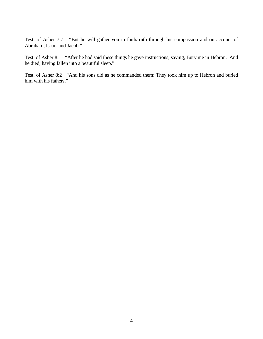Test. of Asher 7:7 "But he will gather you in faith/truth through his compassion and on account of Abraham, Isaac, and Jacob."

Test. of Asher 8:1 "After he had said these things he gave instructions, saying, Bury me in Hebron. And he died, having fallen into a beautiful sleep."

Test. of Asher 8:2 "And his sons did as he commanded them: They took him up to Hebron and buried him with his fathers."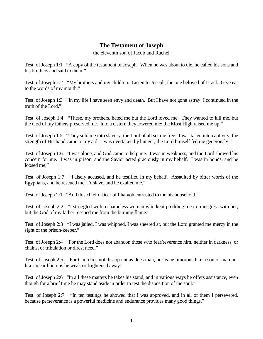### **The Testament of Joseph**

the eleventh son of Jacob and Rachel

Test. of Joseph 1:1 "A copy of the testament of Joseph. When he was about to die, he called his sons and his brothers and said to them:"

Test. of Joseph 1:2 "My brothers and my children. Listen to Joseph, the one beloved of Israel. Give ear to the words of my mouth."

Test. of Joseph 1:3 "In my life I have seen envy and death. But I have not gone astray: I continued in the truth of the Lord."

Test. of Joseph 1:4 "These, my brothers, hated me but the Lord loved me. They wanted to kill me, but the God of my fathers preserved me. Into a cistern they lowered me; the Most High raised me up."

Test. of Joseph 1:5 "They sold me into slavery; the Lord of all set me free. I was taken into captivity; the strength of His hand came to my aid. I was overtaken by hunger; the Lord himself fed me generously."

Test. of Joseph 1:6 "I was alone, and God came to help me. I was in weakness, and the Lord showed his concern for me. I was in prison, and the Savior acted graciously in my behalf. I was in bonds, and he loosed me;"

Test. of Joseph 1:7 "Falsely accused, and he testified in my behalf. Assaulted by bitter words of the Egyptians, and he rescued me. A slave, and he exalted me."

Test. of Joseph 2:1 "And this chief officer of Pharaoh entrusted to me his household."

Test. of Joseph 2:2 "I struggled with a shameless woman who kept prodding me to transgress with her, but the God of my father rescued me from the burning flame."

Test. of Joseph 2:3 "I was jailed, I was whipped, I was sneered at, but the Lord granted me mercy in the sight of the prison-keeper."

Test. of Joseph 2:4 "For the Lord does not abandon those who fear/reverence him, neither in darkness, or chains, or tribulation or direst need."

Test. of Joseph 2:5 "For God does not disappoint as does man, nor is he timorous like a son of man nor like an earthborn is he weak or frightened away."

Test. of Joseph 2:6 "In all these matters he takes his stand, and in various ways he offers assistance, even though for a brief time he may stand aside in order to test the disposition of the soul."

Test. of Joseph 2:7 "In ten testings he showed that I was approved, and in all of them I persevered, because perseverance is a powerful medicine and endurance provides many good things."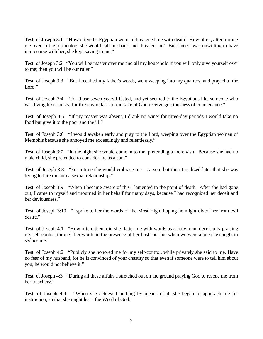Test. of Joseph 3:1 "How often the Egyptian woman threatened me with death! How often, after turning me over to the tormentors she would call me back and threaten me! But since I was unwilling to have intercourse with her, she kept saying to me,"

Test. of Joseph 3:2 "You will be master over me and all my household if you will only give yourself over to me; then you will be our ruler."

Test. of Joseph 3:3 "But I recalled my father's words, went weeping into my quarters, and prayed to the Lord."

Test. of Joseph 3:4 "For those seven years I fasted, and yet seemed to the Egyptians like someone who was living luxuriously, for those who fast for the sake of God receive graciousness of countenance."

Test. of Joseph 3:5 "If my master was absent, I drank no wine; for three-day periods I would take no food but give it to the poor and the ill."

Test. of Joseph 3:6 "I would awaken early and pray to the Lord, weeping over the Egyptian woman of Memphis because she annoyed me exceedingly and relentlessly."

Test. of Joseph 3:7 "In the night she would come in to me, pretending a mere visit. Because she had no male child, she pretended to consider me as a son."

Test. of Joseph 3:8 "For a time she would embrace me as a son, but then I realized later that she was trying to lure me into a sexual relationship."

Test. of Joseph 3:9 "When I became aware of this I lamented to the point of death. After she had gone out, I came to myself and mourned in her behalf for many days, because I had recognized her deceit and her deviousness."

Test. of Joseph 3:10 "I spoke to her the words of the Most High, hoping he might divert her from evil desire."

Test. of Joseph 4:1 "How often, then, did she flatter me with words as a holy man, deceitfully praising my self-control through her words in the presence of her husband, but when we were alone she sought to seduce me."

Test. of Joseph 4:2 "Publicly she honored me for my self-control, while privately she said to me, Have no fear of my husband, for he is convinced of your chastity so that even if someone were to tell him about you, he would not believe it."

Test. of Joseph 4:3 "During all these affairs I stretched out on the ground praying God to rescue me from her treachery."

Test. of Joseph 4:4 "When she achieved nothing by means of it, she began to approach me for instruction, so that she might learn the Word of God."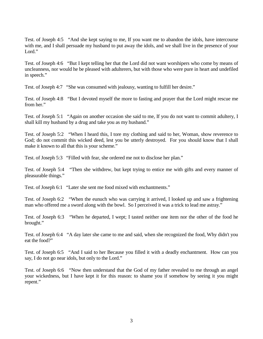Test. of Joseph 4:5 "And she kept saying to me, If you want me to abandon the idols, have intercourse with me, and I shall persuade my husband to put away the idols, and we shall live in the presence of your Lord."

Test. of Joseph 4:6 "But I kept telling her that the Lord did not want worshipers who come by means of uncleanness, nor would he be pleased with adulterers, but with those who were pure in heart and undefiled in speech."

Test. of Joseph 4:7 "She was consumed with jealousy, wanting to fulfill her desire."

Test. of Joseph 4:8 "But I devoted myself the more to fasting and prayer that the Lord might rescue me from her."

Test. of Joseph 5:1 "Again on another occasion she said to me, If you do not want to commit adultery, I shall kill my husband by a drug and take you as my husband."

Test. of Joseph 5:2 "When I heard this, I tore my clothing and said to her, Woman, show reverence to God; do not commit this wicked deed, lest you be utterly destroyed. For you should know that I shall make it known to all that this is your scheme."

Test. of Joseph 5:3 "Filled with fear, she ordered me not to disclose her plan."

Test. of Joseph 5:4 "Then she withdrew, but kept trying to entice me with gifts and every manner of pleasurable things."

Test. of Joseph 6:1 "Later she sent me food mixed with enchantments."

Test. of Joseph 6:2 "When the eunuch who was carrying it arrived, I looked up and saw a frightening man who offered me a sword along with the bowl. So I perceived it was a trick to lead me astray."

Test. of Joseph 6:3 "When he departed, I wept; I tasted neither one item nor the other of the food he brought."

Test. of Joseph 6:4 "A day later she came to me and said, when she recognized the food, Why didn't you eat the food?"

Test. of Joseph 6:5 "And I said to her Because you filled it with a deadly enchantment. How can you say, I do not go near idols, but only to the Lord."

Test. of Joseph 6:6 "Now then understand that the God of my father revealed to me through an angel your wickedness, but I have kept it for this reason: to shame you if somehow by seeing it you might repent."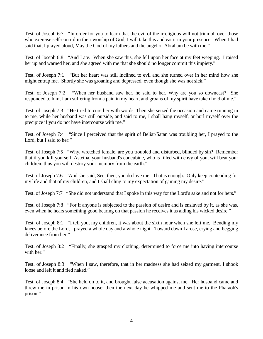Test. of Joseph 6:7 "In order for you to learn that the evil of the irreligious will not triumph over those who exercise self-control in their worship of God, I will take this and eat it in your presence. When I had said that, I prayed aloud, May the God of my fathers and the angel of Abraham be with me."

Test. of Joseph 6:8 "And I ate. When she saw this, she fell upon her face at my feet weeping. I raised her up and warned her, and she agreed with me that she should no longer commit this impiety."

Test. of Joseph 7:1 "But her heart was still inclined to evil and she turned over in her mind how she might entrap me. Shortly she was groaning and depressed, even though she was not sick."

Test. of Joseph 7:2 "When her husband saw her, he said to her, Why are you so downcast? She responded to him, I am suffering from a pain in my heart, and groans of my spirit have taken hold of me."

Test. of Joseph 7:3 "He tried to cure her with words. Then she seized the occasion and came running in to me, while her husband was still outside, and said to me, I shall hang myself, or hurl myself over the precipice if you do not have intercourse with me."

Test. of Joseph 7:4 "Since I perceived that the spirit of Beliar/Satan was troubling her, I prayed to the Lord, but I said to her:"

Test. of Joseph 7:5 "Why, wretched female, are you troubled and disturbed, blinded by sin? Remember that if you kill yourself, Astetha, your husband's concubine, who is filled with envy of you, will beat your children; thus you will destroy your memory from the earth."

Test. of Joseph 7:6 "And she said, See, then, you do love me. That is enough. Only keep contending for my life and that of my children, and I shall cling to my expectation of gaining my desire."

Test. of Joseph 7:7 "She did not understand that I spoke in this way for the Lord's sake and not for hers."

Test. of Joseph 7:8 "For if anyone is subjected to the passion of desire and is enslaved by it, as she was, even when he hears something good bearing on that passion he receives it as aiding his wicked desire."

Test. of Joseph 8:1 "I tell you, my children, it was about the sixth hour when she left me. Bending my knees before the Lord, I prayed a whole day and a whole night. Toward dawn I arose, crying and begging deliverance from her."

Test. of Joseph 8:2 "Finally, she grasped my clothing, determined to force me into having intercourse with her."

Test. of Joseph 8:3 "When I saw, therefore, that in her madness she had seized my garment, I shook loose and left it and fled naked."

Test. of Joseph 8:4 "She held on to it, and brought false accusation against me. Her husband came and threw me in prison in his own house; then the next day he whipped me and sent me to the Pharaoh's prison."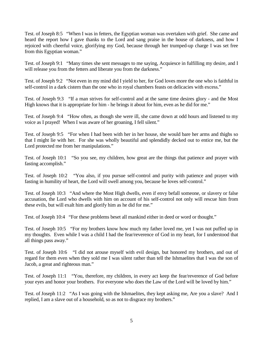Test. of Joseph 8:5 "When I was in fetters, the Egyptian woman was overtaken with grief. She came and heard the report how I gave thanks to the Lord and sang praise in the house of darkness, and how I rejoiced with cheerful voice, glorifying my God, because through her trumped-up charge I was set free from this Egyptian woman."

Test. of Joseph 9:1 "Many times she sent messages to me saying, Acquiesce in fulfilling my desire, and I will release you from the fetters and liberate you from the darkness."

Test. of Joseph 9:2 "Not even in my mind did I yield to her, for God loves more the one who is faithful in self-control in a dark cistern than the one who in royal chambers feasts on delicacies with excess."

Test. of Joseph 9:3 "If a man strives for self-control and at the same time desires glory - and the Most High knows that it is appropriate for him - he brings it about for him, even as he did for me."

Test. of Joseph 9:4 "How often, as though she were ill, she came down at odd hours and listened to my voice as I prayed! When I was aware of her groaning, I fell silent."

Test. of Joseph 9:5 "For when I had been with her in her house, she would bare her arms and thighs so that I might lie with her. For she was wholly beautiful and splendidly decked out to entice me, but the Lord protected me from her manipulations."

Test. of Joseph 10:1 "So you see, my children, how great are the things that patience and prayer with fasting accomplish."

Test. of Joseph 10:2 "You also, if you pursue self-control and purity with patience and prayer with fasting in humility of heart, the Lord will swell among you, because he loves self-control."

Test. of Joseph 10:3 "And where the Most High dwells, even if envy befall someone, or slavery or false accusation, the Lord who dwells with him on account of his self-control not only will rescue him from these evils, but will exalt him and glorify him as he did for me."

Test. of Joseph 10:4 "For these problems beset all mankind either in deed or word or thought."

Test. of Joseph 10:5 "For my brothers know how much my father loved me, yet I was not puffed up in my thoughts. Even while I was a child I had the fear/reverence of God in my heart, for I understood that all things pass away."

Test. of Joseph 10:6 "I did not arouse myself with evil design, but honored my brothers, and out of regard for them even when they sold me I was silent rather than tell the Ishmaelites that I was the son of Jacob, a great and righteous man."

Test. of Joseph 11:1 "You, therefore, my children, in every act keep the fear/reverence of God before your eyes and honor your brothers. For everyone who does the Law of the Lord will be loved by him."

Test. of Joseph 11:2 "As I was going with the Ishmaelites, they kept asking me, Are you a slave? And I replied, I am a slave out of a household, so as not to disgrace my brothers."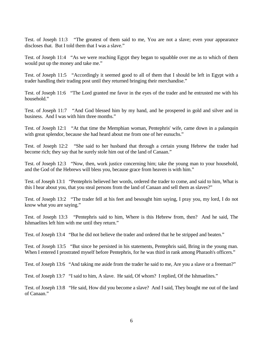Test. of Joseph 11:3 "The greatest of them said to me, You are not a slave; even your appearance discloses that. But I told them that I was a slave."

Test. of Joseph 11:4 "As we were reaching Egypt they began to squabble over me as to which of them would put up the money and take me."

Test. of Joseph 11:5 "Accordingly it seemed good to all of them that I should be left in Egypt with a trader handling their trading post until they returned bringing their merchandise."

Test. of Joseph 11:6 "The Lord granted me favor in the eyes of the trader and he entrusted me with his household."

Test. of Joseph 11:7 "And God blessed him by my hand, and he prospered in gold and silver and in business. And I was with him three months."

Test. of Joseph 12:1 "At that time the Memphian woman, Pentephris' wife, came down in a palanquin with great splendor, because she had heard about me from one of her eunuchs."

Test. of Joseph 12:2 "She said to her husband that through a certain young Hebrew the trader had become rich; they say that he surely stole him out of the land of Canaan."

Test. of Joseph 12:3 "Now, then, work justice concerning him; take the young man to your household, and the God of the Hebrews will bless you, because grace from heaven is with him."

Test. of Joseph 13:1 "Pentephris believed her words, ordered the trader to come, and said to him, What is this I hear about you, that you steal persons from the land of Canaan and sell them as slaves?"

Test. of Joseph 13:2 "The trader fell at his feet and besought him saying, I pray you, my lord, I do not know what you are saying."

Test. of Joseph 13:3 "Pentephris said to him, Where is this Hebrew from, then? And he said, The Ishmaelites left him with me until they return."

Test. of Joseph 13:4 "But he did not believe the trader and ordered that he be stripped and beaten."

Test. of Joseph 13:5 "But since he persisted in his statements, Pentephris said, Bring in the young man. When I entered I prostrated myself before Pentephris, for he was third in rank among Pharaoh's officers."

Test. of Joseph 13:6 "And taking me aside from the trader he said to me, Are you a slave or a freeman?"

Test. of Joseph 13:7 "I said to him, A slave. He said, Of whom? I replied, Of the Ishmaelites."

Test. of Joseph 13:8 "He said, How did you become a slave? And I said, They bought me out of the land of Canaan."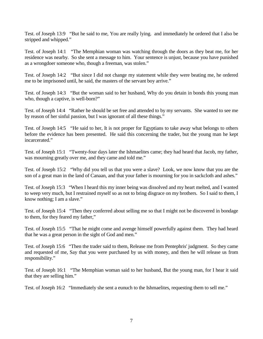Test. of Joseph 13:9 "But he said to me, You are really lying. and immediately he ordered that I also be stripped and whipped."

Test. of Joseph 14:1 "The Memphian woman was watching through the doors as they beat me, for her residence was nearby. So she sent a message to him. Your sentence is unjust, because you have punished as a wrongdoer someone who, though a freeman, was stolen."

Test. of Joseph 14:2 "But since I did not change my statement while they were beating me, he ordered me to be imprisoned until, he said, the masters of the servant boy arrive."

Test. of Joseph 14:3 "But the woman said to her husband, Why do you detain in bonds this young man who, though a captive, is well-born?"

Test. of Joseph 14:4 "Rather he should be set free and attended to by my servants. She wanted to see me by reason of her sinful passion, but I was ignorant of all these things."

Test. of Joseph 14:5 "He said to her, It is not proper for Egyptians to take away what belongs to others before the evidence has been presented. He said this concerning the trader, but the young man he kept incarcerated."

Test. of Joseph 15:1 "Twenty-four days later the Ishmaelites came; they had heard that Jacob, my father, was mourning greatly over me, and they came and told me."

Test. of Joseph 15:2 "Why did you tell us that you were a slave? Look, we now know that you are the son of a great man in the land of Canaan, and that your father is mourning for you in sackcloth and ashes."

Test. of Joseph 15:3 "When I heard this my inner being was dissolved and my heart melted, and I wanted to weep very much, but I restrained myself so as not to bring disgrace on my brothers. So I said to them, I know nothing; I am a slave."

Test. of Joseph 15:4 "Then they conferred about selling me so that I might not be discovered in bondage to them, for they feared my father,"

Test. of Joseph 15:5 "That he might come and avenge himself powerfully against them. They had heard that he was a great person in the sight of God and men."

Test. of Joseph 15:6 "Then the trader said to them, Release me from Pentephris' judgment. So they came and requested of me, Say that you were purchased by us with money, and then he will release us from responsibility."

Test. of Joseph 16:1 "The Memphian woman said to her husband, But the young man, for I hear it said that they are selling him."

Test. of Joseph 16:2 "Immediately she sent a eunuch to the Ishmaelites, requesting them to sell me."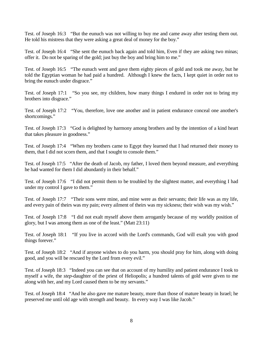Test. of Joseph 16:3 "But the eunuch was not willing to buy me and came away after testing them out. He told his mistress that they were asking a great deal of money for the boy."

Test. of Joseph 16:4 "She sent the eunuch back again and told him, Even if they are asking two minas; offer it. Do not be sparing of the gold; just buy the boy and bring him to me."

Test. of Joseph 16:5 "The eunuch went and gave them eighty pieces of gold and took me away, but he told the Egyptian woman he had paid a hundred. Although I knew the facts, I kept quiet in order not to bring the eunuch under disgrace."

Test. of Joseph 17:1 "So you see, my children, how many things I endured in order not to bring my brothers into disgrace."

Test. of Joseph 17:2 "You, therefore, love one another and in patient endurance conceal one another's shortcomings."

Test. of Joseph 17:3 "God is delighted by harmony among brothers and by the intention of a kind heart that takes pleasure in goodness."

Test. of Joseph 17:4 "When my brothers came to Egypt they learned that I had returned their money to them, that I did not scorn them, and that I sought to console them."

Test. of Joseph 17:5 "After the death of Jacob, my father, I loved them beyond measure, and everything he had wanted for them I did abundantly in their behalf."

Test. of Joseph 17:6 "I did not permit them to be troubled by the slightest matter, and everything I had under my control I gave to them."

Test. of Joseph 17:7 "Their sons were mine, and mine were as their servants; their life was as my life, and every pain of theirs was my pain; every ailment of theirs was my sickness; their wish was my wish."

Test. of Joseph 17:8 "I did not exalt myself above them arrogantly because of my worldly position of glory, but I was among them as one of the least." (Matt 23:11)

Test. of Joseph 18:1 "If you live in accord with the Lord's commands, God will exalt you with good things forever."

Test. of Joseph 18:2 "And if anyone wishes to do you harm, you should pray for him, along with doing good, and you will be rescued by the Lord from every evil."

Test. of Joseph 18:3 "Indeed you can see that on account of my humility and patient endurance I took to myself a wife, the *step-*daughter of the priest of Heliopolis; a hundred talents of gold were given to me along with her, and my Lord caused them to be my servants."

Test. of Joseph 18:4 "And he also gave me mature beauty, more than those of mature beauty in Israel; he preserved me until old age with strength and beauty. In every way I was like Jacob."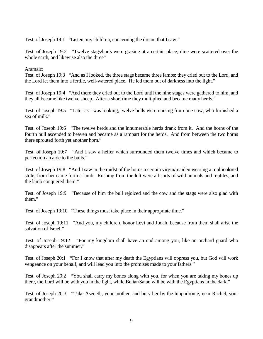Test. of Joseph 19:1 "Listen, my children, concerning the dream that I saw."

Test. of Joseph 19:2 "Twelve stags/harts were grazing at a certain place; nine were scattered over the whole earth, and likewise also the three"

Aramaic:

Test. of Joseph 19:3 "And as I looked, the three stags became three lambs; they cried out to the Lord, and the Lord let them into a fertile, well-watered place. He led them out of darkness into the light."

Test. of Joseph 19:4 "And there they cried out to the Lord until the nine stages were gathered to him, and they all became like twelve sheep. After a short time they multiplied and became many herds."

Test. of Joseph 19:5 "Later as I was looking, twelve bulls were nursing from one cow, who furnished a sea of milk."

Test. of Joseph 19:6 "The twelve herds and the innumerable herds drank from it. And the horns of the fourth bull ascended to heaven and became as a rampart for the herds. And from between the two horns there sprouted forth yet another horn."

Test. of Joseph 19:7 "And I saw a heifer which surrounded them twelve times and which became to perfection an aide to the bulls."

Test. of Joseph 19:8 "And I saw in the midst of the horns a certain virgin/maiden wearing a multicolored stole; from her came forth a lamb. Rushing from the left were all sorts of wild animals and reptiles, and the lamb conquered them."

Test. of Joseph 19:9 "Because of him the bull rejoiced and the cow and the stags were also glad with them."

Test. of Joseph 19:10 "These things must take place in their appropriate time."

Test. of Joseph 19:11 "And you, my children, honor Levi and Judah, because from them shall arise the salvation of Israel."

Test. of Joseph 19:12 "For my kingdom shall have an end among you, like an orchard guard who disappears after the summer."

Test. of Joseph 20:1 "For I know that after my death the Egyptians will oppress you, but God will work vengeance on your behalf, and will lead you into the promises made to your fathers."

Test. of Joseph 20:2 "You shall carry my bones along with you, for when you are taking my bones up there, the Lord will be with you in the light, while Beliar/Satan will be with the Egyptians in the dark."

Test. of Joseph 20:3 "Take Aseneth, your mother, and bury her by the hippodrome, near Rachel, your grandmother."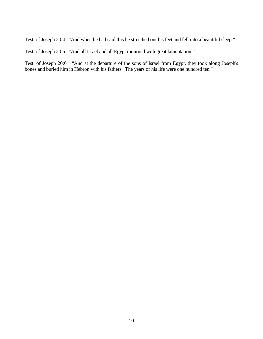Test. of Joseph 20:4 "And when he had said this he stretched out his feet and fell into a beautiful sleep."

Test. of Joseph 20:5 "And all Israel and all Egypt mourned with great lamentation."

Test. of Joseph 20:6 "And at the departure of the sons of Israel from Egypt, they took along Joseph's bones and buried him in Hebron with his fathers. The years of his life were one hundred ten."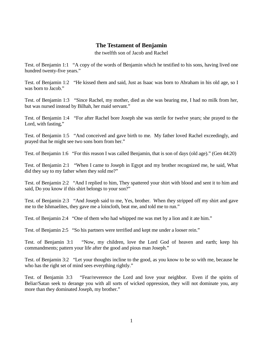# **The Testament of Benjamin**

the twelfth son of Jacob and Rachel

Test. of Benjamin 1:1 "A copy of the words of Benjamin which he testified to his sons, having lived one hundred twenty-five years."

Test. of Benjamin 1:2 "He kissed them and said, Just as Isaac was born to Abraham in his old age, so I was born to Jacob."

Test. of Benjamin 1:3 "Since Rachel, my mother, died as she was bearing me, I had no milk from her, but was nursed instead by Bilhah, her maid servant."

Test. of Benjamin 1:4 "For after Rachel bore Joseph she was sterile for twelve years; she prayed to the Lord, with fasting,"

Test. of Benjamin 1:5 "And conceived and gave birth to me. My father loved Rachel exceedingly, and prayed that he might see two sons born from her."

Test. of Benjamin 1:6 "For this reason I was called Benjamin, that is son of days (old age)." (Gen 44:20)

Test. of Benjamin 2:1 "When I came to Joseph in Egypt and my brother recognized me, he said, What did they say to my father when they sold me?"

Test. of Benjamin 2:2 "And I replied to him, They spattered your shirt with blood and sent it to him and said, Do you know if this shirt belongs to your son?"

Test. of Benjamin 2:3 "And Joseph said to me, Yes, brother. When they stripped off my shirt and gave me to the Ishmaelites, they gave me a loincloth, beat me, and told me to run."

Test. of Benjamin 2:4 "One of them who had whipped me was met by a lion and it ate him."

Test. of Benjamin 2:5 "So his partners were terrified and kept me under a looser rein."

Test. of Benjamin 3:1 "Now, my children, love the Lord God of heaven and earth; keep his commandments; pattern your life after the good and pious man Joseph."

Test. of Benjamin 3:2 "Let your thoughts incline to the good, as you know to be so with me, because he who has the right set of mind sees everything rightly."

Test. of Benjamin 3:3 "Fear/reverence the Lord and love your neighbor. Even if the spirits of Beliar/Satan seek to derange you with all sorts of wicked oppression, they will not dominate you, any more than they dominated Joseph, my brother."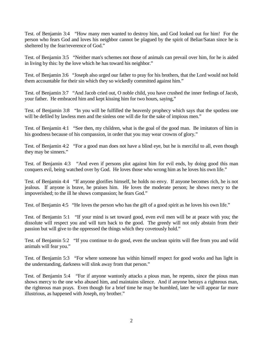Test. of Benjamin 3:4 "How many men wanted to destroy him, and God looked out for him! For the person who fears God and loves his neighbor cannot be plagued by the spirit of Beliar/Satan since he is sheltered by the fear/reverence of God."

Test. of Benjamin 3:5 "Neither man's schemes not those of animals can prevail over him, for he is aided in living by this: by the love which he has toward his neighbor."

Test. of Benjamin 3:6 "Joseph also urged our father to pray for his brothers, that the Lord would not hold them accountable for their sin which they so wickedly committed against him."

Test. of Benjamin 3:7 "And Jacob cried out, O noble child, you have crushed the inner feelings of Jacob, your father. He embraced him and kept kissing him for two hours, saying,"

Test. of Benjamin 3:8 "In you will be fulfilled the heavenly prophecy which says that the spotless one will be defiled by lawless men and the sinless one will die for the sake of impious men."

Test. of Benjamin 4:1 "See then, my children, what is the goal of the good man. Be imitators of him in his goodness because of his compassion, in order that you may wear crowns of glory."

Test. of Benjamin 4:2 "For a good man does not have a blind eye, but he is merciful to all, even though they may be sinners."

Test. of Benjamin 4:3 "And even if persons plot against him for evil ends, by doing good this man conquers evil, being watched over by God. He loves those who wrong him as he loves his own life."

Test. of Benjamin 4:4 "If anyone glorifies himself, he holds no envy. If anyone becomes rich, he is not jealous. If anyone is brave, he praises him. He loves the moderate person; he shows mercy to the impoverished; to the ill he shows compassion; he fears God."

Test. of Benjamin 4:5 "He loves the person who has the gift of a good spirit as he loves his own life."

Test. of Benjamin 5:1 "If your mind is set toward good, even evil men will be at peace with you; the dissolute will respect you and will turn back to the good. The greedy will not only abstain from their passion but will give to the oppressed the things which they covetously hold."

Test. of Benjamin 5:2 "If you continue to do good, even the unclean spirits will flee from you and wild animals will fear you."

Test. of Benjamin 5:3 "For where someone has within himself respect for good works and has light in the understanding, darkness will slink away from that person."

Test. of Benjamin 5:4 "For if anyone wantonly attacks a pious man, he repents, since the pious man shows mercy to the one who abused him, and maintains silence. And if anyone betrays a righteous man, the righteous man prays. Even though for a brief time he may be humbled, later he will appear far more illustrious, as happened with Joseph, my brother."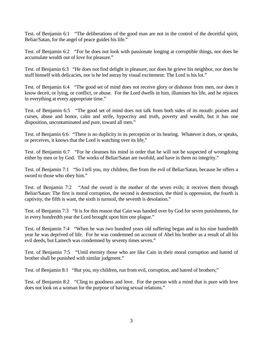Test. of Benjamin 6:1 "The deliberations of the good man are not in the control of the deceitful spirit, Beliar/Satan, for the angel of peace guides his life."

Test. of Benjamin 6:2 "For he does not look with passionate longing at corruptible things, nor does he accumulate wealth out of love for pleasure."

Test. of Benjamin 6:3 "He does not find delight in pleasure, nor does he grieve his neighbor, nor does he stuff himself with delicacies, nor is he led astray by visual excitement: The Lord is his lot."

Test. of Benjamin 6:4 "The good set of mind does not receive glory or dishonor from men, nor does it know deceit, or lying, or conflict, or abuse. For the Lord dwells in him, illumines his life, and he rejoices in everything at every appropriate time."

Test. of Benjamin 6:5 "The good set of mind does not talk from both sides of its mouth: praises and curses, abuse and honor, calm and strife, hypocrisy and truth, poverty and wealth, but it has one disposition, uncontaminated and pure, toward all men."

Test. of Benjamin 6:6 "There is no duplicity in its perception or its hearing. Whatever it does, or speaks, or perceives, it knows that the Lord is watching over its life,"

Test. of Benjamin 6:7 "For he cleanses his mind in order that he will not be suspected of wrongdoing either by men or by God. The works of Beliar/Satan are twofold, and have in them no integrity."

Test. of Benjamin 7:1 "So I tell you, my children, flee from the evil of Beliar/Satan, because he offers a sword to those who obey him."

Test. of Benjamin 7:2 "And the sword is the mother of the seven evils; it receives them through Beliar/Satan: The first is moral corruption, the second is destruction, the third is oppression, the fourth is captivity, the fifth is want, the sixth is turmoil, the seventh is desolation."

Test. of Benjamin 7:3 "It is for this reason that Cain was handed over by God for seven punishments, for in every hundredth year the Lord brought upon him one plague."

Test. of Benjamin 7:4 "When he was two hundred years old suffering began and in his nine hundredth year he was deprived of life. For he was condemned on account of Abel his brother as a result of all his evil deeds, but Lamech was condemned by seventy times seven."

Test. of Benjamin 7:5 "Until eternity those who are like Cain in their moral corruption and hatred of brother shall be punished with similar judgment."

Test. of Benjamin 8:1 "But you, my children, run from evil, corruption, and hatred of brothers;"

Test. of Benjamin 8:2 "Cling to goodness and love. For the person with a mind that is pure with love does not look on a woman for the purpose of having sexual relations."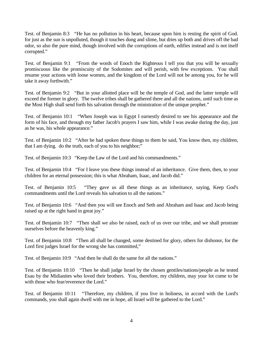Test. of Benjamin 8:3 "He has no pollution in his heart, because upon him is resting the spirit of God. for just as the sun is unpolluted, though it touches dung and slime, but dries up both and drives off the bad odor, so also the pure mind, though involved with the corruptions of earth, edifies instead and is not itself corrupted."

Test. of Benjamin 9:1 "From the words of Enoch the Righteous I tell you that you will be sexually promiscuous like the promiscuity of the Sodomites and will perish, with few exceptions. You shall resume your actions with loose women, and the kingdom of the Lord will not be among you, for he will take it away forthwith."

Test. of Benjamin 9:2 "But in your allotted place will be the temple of God, and the latter temple will exceed the former in glory. The twelve tribes shall be gathered there and all the nations, until such time as the Most High shall send forth his salvation through the ministration of the unique prophet."

Test. of Benjamin 10:1 "When Joseph was in Egypt I earnestly desired to see his appearance and the form of his face, and through my father Jacob's prayers I saw him, while I was awake during the day, just as he was, his whole appearance."

Test. of Benjamin 10:2 "After he had spoken these things to them he said, You know then, my children, that I am dying. do the truth, each of you to his neighbor;"

Test. of Benjamin 10:3 "Keep the Law of the Lord and his commandments."

Test. of Benjamin 10:4 "For I leave you these things instead of an inheritance. Give them, then, to your children for an eternal possession; this is what Abraham, Isaac, and Jacob did."

Test. of Benjamin 10:5 "They gave us all these things as an inheritance, saying, Keep God's commandments until the Lord reveals his salvation to all the nations."

Test. of Benjamin 10:6 "And then you will see Enoch and Seth and Abraham and Isaac and Jacob being raised up at the right hand in great joy."

Test. of Benjamin 10:7 "Then shall we also be raised, each of us over our tribe, and we shall prostrate ourselves before the heavenly king."

Test. of Benjamin 10:8 "Then all shall be changed, some destined for glory, others for dishonor, for the Lord first judges Israel for the wrong she has committed,"

Test. of Benjamin 10:9 "And then he shall do the same for all the nations."

Test. of Benjamin 10:10 "Then he shall judge Israel by the chosen gentiles/nations/people as he tested Esau by the Midianites who loved their brothers. You, therefore, my children, may your lot come to be with those who fear/reverence the Lord."

Test. of Benjamin 10:11 "Therefore, my children, if you live in holiness, in accord with the Lord's commands, you shall again dwell with me in hope, all Israel will be gathered to the Lord."